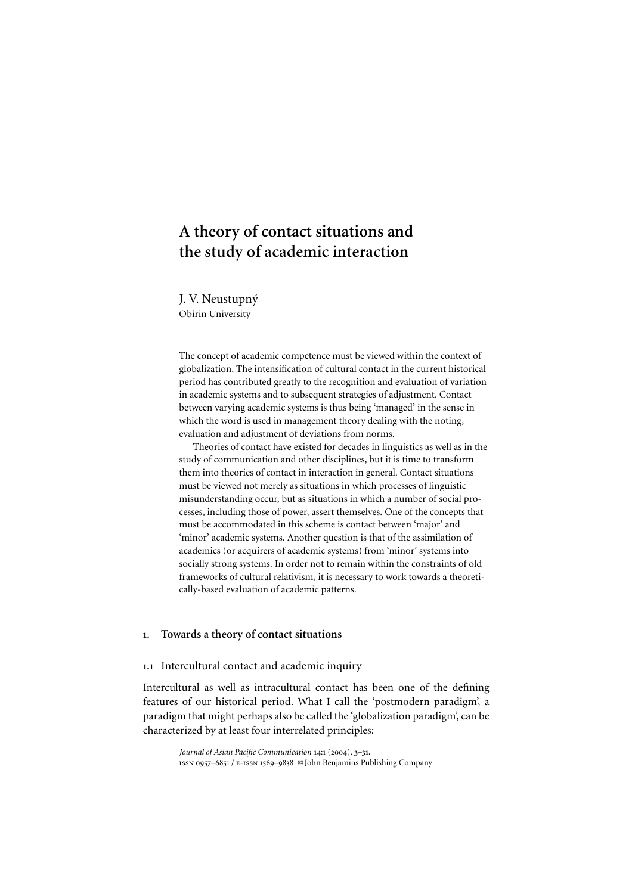# A theory of contact situations and the study of academic interaction

J. V. Neustupný Obirin University

The concept of academic competence must be viewed within the context of globalization. The intensification of cultural contact in the current historical period has contributed greatly to the recognition and evaluation of variation in academic systems and to subsequent strategies of adjustment. Contact between varying academic systems is thus being 'managed' in the sense in which the word is used in management theory dealing with the noting, evaluation and adjustment of deviations from norms.

Theories of contact have existed for decades in linguistics as well as in the study of communication and other disciplines, but it is time to transform them into theories of contact in interaction in general. Contact situations must be viewed not merely as situations in which processes of linguistic misunderstanding occur, but as situations in which a number of social processes, including those of power, assert themselves. One of the concepts that must be accommodated in this scheme is contact between 'major' and 'minor' academic systems. Another question is that of the assimilation of academics (or acquirers of academic systems) from 'minor' systems into socially strong systems. In order not to remain within the constraints of old frameworks of cultural relativism, it is necessary to work towards a theoretically-based evaluation of academic patterns.

### 1. Towards a theory of contact situations

#### 1.1 Intercultural contact and academic inquiry

Intercultural as well as intracultural contact has been one of the defining features of our historical period. What I call the 'postmodern paradigm', a paradigm that might perhaps also be called the 'globalization paradigm', can be characterized by at least four interrelated principles: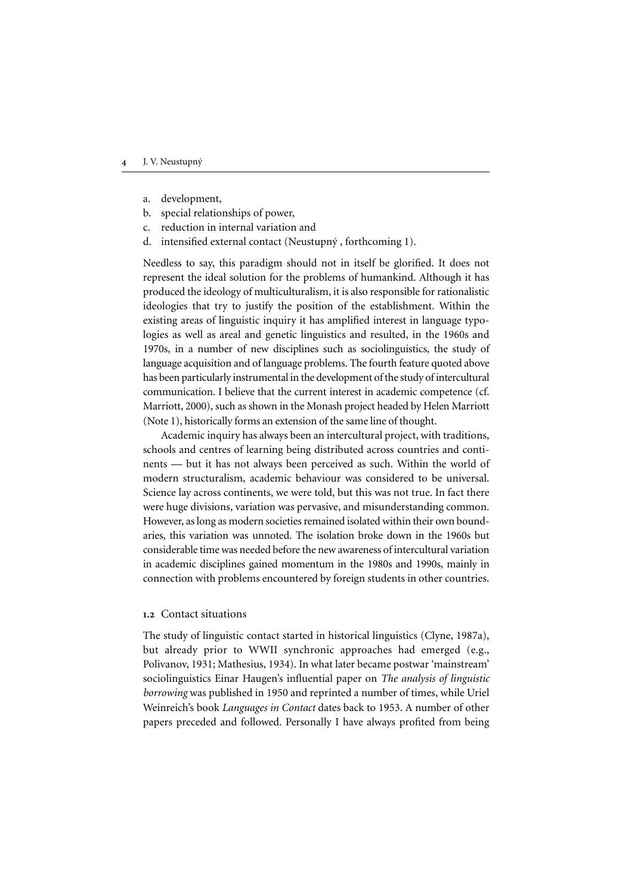- a. development,
- b. special relationships of power,
- c. reduction in internal variation and
- d. intensified external contact (Neustupný , forthcoming 1).

Needless to say, this paradigm should not in itself be glorified. It does not represent the ideal solution for the problems of humankind. Although it has produced the ideology of multiculturalism, it is also responsible for rationalistic ideologies that try to justify the position of the establishment. Within the existing areas of linguistic inquiry it has amplified interest in language typologies as well as areal and genetic linguistics and resulted, in the 1960s and 1970s, in a number of new disciplines such as sociolinguistics, the study of language acquisition and of language problems. The fourth feature quoted above has been particularly instrumental in the development of the study of intercultural communication. I believe that the current interest in academic competence (cf. Marriott, 2000), such as shown in the Monash project headed by Helen Marriott (Note 1), historically forms an extension of the same line of thought.  $\pm$  1. V. Neustupny (a) the specifical minimal variation and c) tendstoon in intertaal variation and d). Include the model of Neustupny (forthcoming 1). Needles to say, this paradigm should not in itself be glorified. It  $\begin{tabular}{ll} \textbf{1.} & \textbf{1.} & \textbf{1.} & \textbf{1.} & \textbf{1.} & \textbf{1.} & \textbf{1.} \\ \textbf{2.} & \textbf{2.} & \textbf{2.} & \textbf{2.} & \textbf{2.} & \textbf{2.} \\ \textbf{3.} & \textbf{3.} & \textbf{3.} & \textbf{3.} & \textbf{3.} \\ \textbf{4.} & \textbf{4.} & \textbf{4.} & \textbf{4.} & \textbf{4.} \\ \textbf{5.} & \textbf{4.} & \textbf{4.} & \textbf{$ 

Academic inquiry has always been an intercultural project, with traditions, schools and centres of learning being distributed across countries and continents — but it has not always been perceived as such. Within the world of modern structuralism, academic behaviour was considered to be universal. Science lay across continents, we were told, but this was not true. In fact there were huge divisions, variation was pervasive, and misunderstanding common. However, as long as modern societies remained isolated within their own boundaries, this variation was unnoted. The isolation broke down in the 1960s but considerable time was needed before the new awareness of intercultural variation in academic disciplines gained momentum in the 1980s and 1990s, mainly in connection with problems encountered by foreign students in other countries.

#### 1.2 Contact situations

The study of linguistic contact started in historical linguistics (Clyne, 1987a), Polivanov, 1931; Mathesius, 1934). In what later became postwar 'mainstream' *borrowing* was published in 1950 and reprinted a number of times, while Uriel Weinreich's book *Languages in Contact* dates back to 1953. A number of other papers preceded and followed. Personally I have always profited from being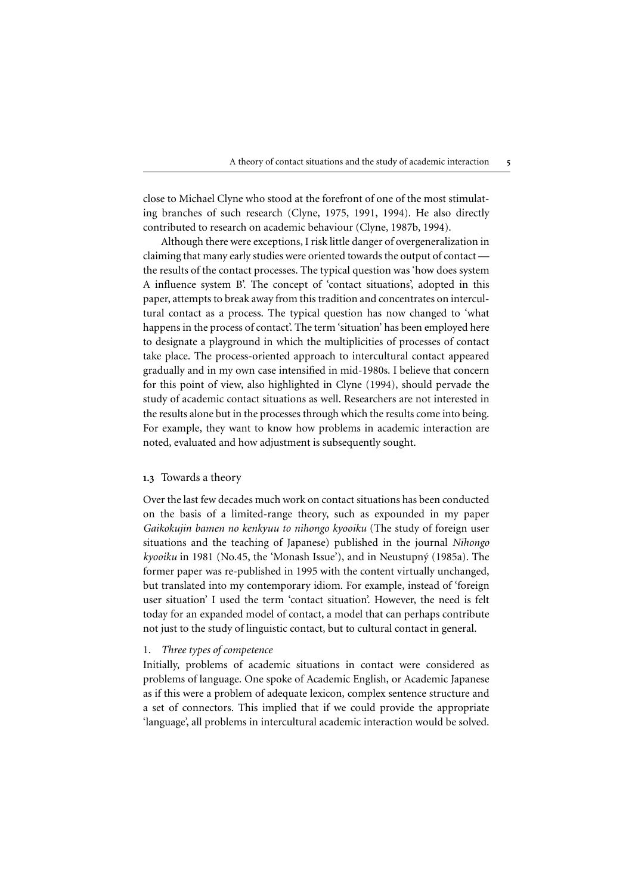close to Michael Clyne who stood at the forefront of one of the most stimulating branches of such research (Clyne, 1975, 1991, 1994). He also directly contributed to research on academic behaviour (Clyne, 1987b, 1994).

Although there were exceptions, I risk little danger of overgeneralization in claiming that many early studies were oriented towards the output of contact the results of the contact processes. The typical question was 'how does system A influence system B'. The concept of 'contact situations', adopted in this paper, attempts to break away from this tradition and concentrates on intercultural contact as a process. The typical question has now changed to 'what happens in the process of contact'. The term 'situation' has been employed here to designate a playground in which the multiplicities of processes of contact take place. The process-oriented approach to intercultural contact appeared gradually and in my own case intensified in mid-1980s. I believe that concern for this point of view, also highlighted in Clyne (1994), should pervade the study of academic contact situations as well. Researchers are not interested in the results alone but in the processes through which the results come into being. For example, they want to know how problems in academic interaction are noted, evaluated and how adjustment is subsequently sought. A theory of contact situations and the study of academic interaction<br>close to Michael Clyne who stood at the forefront of one of the most stimulat-<br>ing branches of such research (Clyne, 1975, 1991, 1994). He also directly

### 1.3 Towards a theory

Over the last few decades much work on contact situations has been conducted on the basis of a limited-range theory, such as expounded in my paper *Gaikokujin bamen no kenkyuu to nihongo kyooiku* (The study of foreign user situations and the teaching of Japanese) published in the journal *Nihongo kyooiku* in 1981 (No.45, the 'Monash Issue'), and in Neustupný (1985a). The but translated into my contemporary idiom. For example, instead of 'foreign user situation' I used the term 'contact situation'. However, the need is felt today for an expanded model of contact, a model that can perhaps contribute not just to the study of linguistic contact, but to cultural contact in general.

### 1. *Three types of competence*

Initially, problems of academic situations in contact were considered as problems of language. One spoke of Academic English, or Academic Japanese as if this were a problem of adequate lexicon, complex sentence structure and a set of connectors. This implied that if we could provide the appropriate 'language', all problems in intercultural academic interaction would be solved.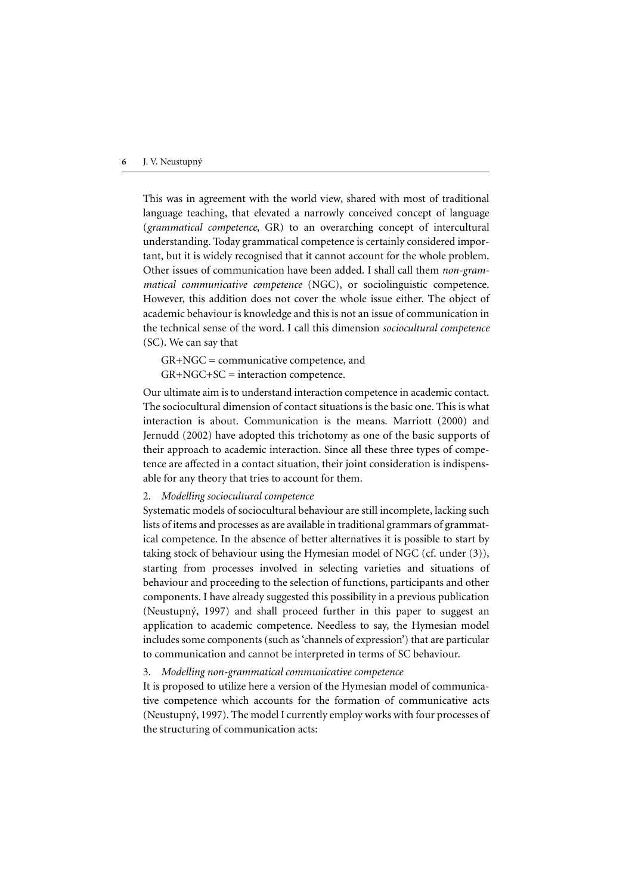This was in agreement with the world view, shared with most of traditional language teaching, that elevated a narrowly conceived concept of language (*grammatical competence*, GR) to an overarching concept of intercultural understanding. Today grammatical competence is certainly considered important, but it is widely recognised that it cannot account for the whole problem. Other issues of communication have been added. I shall call them *non-grammatical communicative competence* (NGC), or sociolinguistic competence. However, this addition does not cover the whole issue either. The object of academic behaviour is knowledge and this is not an issue of communication in the technical sense of the word. I call this dimension *sociocultural competence* (SC). We can say that **EXECUTE 19** TV. Neustupny<br>
This was in agreement with the world view, shared with most of traditional<br>
language (*grammatical competence*, GR) to an overarching concept of intercultural<br>
understanding. Today grammatical  $$\sf I. V. Nextupp@$  <br>This was in agreement with the world view, shared with most of traditional language teaching, that elevated a narrowly conceived concept of liner<br>cultural competence, CNS to an overcreding concept of interest

GR+NGC = communicative competence, and  $GR+NGC+SC = interaction$  competence.

Our ultimate aim is to understand interaction competence in academic contact. The sociocultural dimension of contact situations is the basic one. This is what interaction is about. Communication is the means. Marriott (2000) and Jernudd (2002) have adopted this trichotomy as one of the basic supports of tence are affected in a contact situation, their joint consideration is indispensable for any theory that tries to account for them.

### 2. *Modelling sociocultural competence*

Systematic models of sociocultural behaviour are still incomplete, lacking such lists of items and processes as are available in traditional grammars of grammatical competence. In the absence of better alternatives it is possible to start by taking stock of behaviour using the Hymesian model of NGC (cf. under (3)), starting from processes involved in selecting varieties and situations of behaviour and proceeding to the selection of functions, participants and other components. I have already suggested this possibility in a previous publication (Neustupný, 1997) and shall proceed further in this paper to suggest an includes some components (such as 'channels of expression') that are particular to communication and cannot be interpreted in terms of SC behaviour.

### 3. *Modelling non-grammatical communicative competence*

It is proposed to utilize here a version of the Hymesian model of communicative competence which accounts for the formation of communicative acts (Neustupný, 1997). The model I currently employ works with four processes of the structuring of communication acts: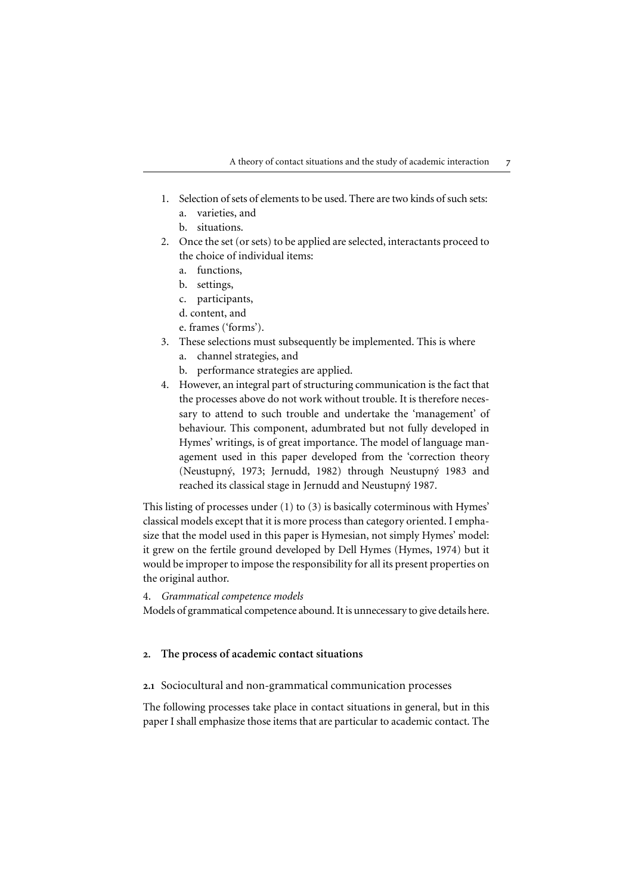- 1. Selection of sets of elements to be used. There are two kinds of such sets:
	- a. varieties, and
	- b. situations.
- 2. Once the set (or sets) to be applied are selected, interactants proceed to the choice of individual items:
	- a. functions,
	- b. settings,
	- c. participants,
	- d. content, and
	- e. frames ('forms').
- 3. These selections must subsequently be implemented. This is where
	- a. channel strategies, and
	- b. performance strategies are applied.
- 4. However, an integral part of structuring communication is the fact that the processes above do not work without trouble. It is therefore necessary to attend to such trouble and undertake the 'management' of behaviour. This component, adumbrated but not fully developed in Hymes' writings, is of great importance. The model of language management used in this paper developed from the 'correction theory (Neustupný, 1973; Jernudd, 1982) through Neustupný 1983 and reached its classical stage in Jernudd and Neustupný 1987. A theory of contact situations and the study of academic interaction<br>
1. Selection of sets of elements to be used. There are two kinds of such sets<br>
2. Once the set (c orests) to be applied are selected, interactants proc

This listing of processes under (1) to (3) is basically coterminous with Hymes' classical models except that it is more process than category oriented. I emphasize that the model used in this paper is Hymesian, not simply Hymes' model: it grew on the fertile ground developed by Dell Hymes (Hymes, 1974) but it the original author.

4. *Grammatical competence models*

Models of grammatical competence abound. It is unnecessary to give details here.

# 2. The process of academic contact situations

# 2.1 Sociocultural and non-grammatical communication processes

The following processes take place in contact situations in general, but in this paper I shall emphasize those items that are particular to academic contact. The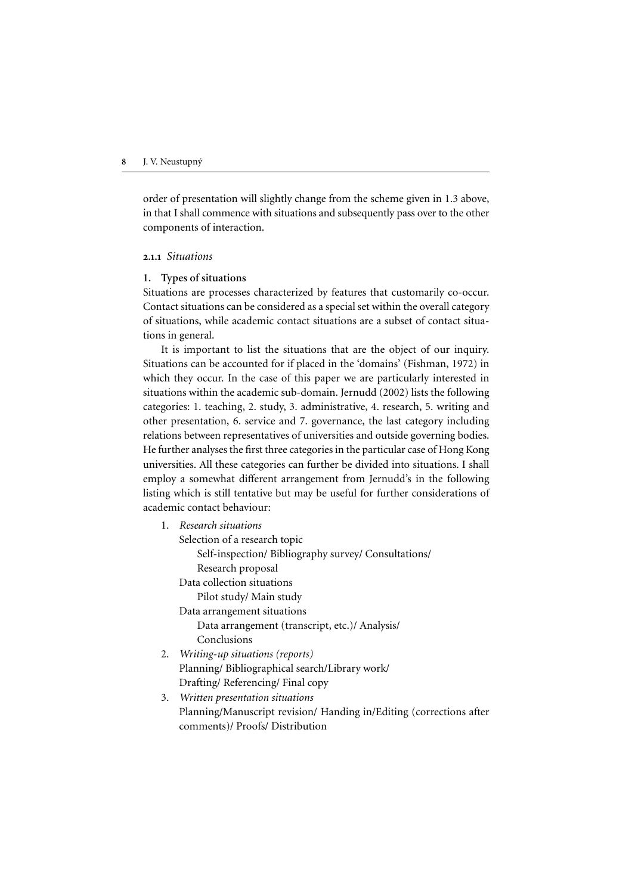order of presentation will slightly change from the scheme given in 1.3 above, in that I shall commence with situations and subsequently pass over to the other components of interaction.

### 2.1.1 *Situations*

### 1. Types of situations

Situations are processes characterized by features that customarily co-occur. Contact situations can be considered as a special set within the overall category of situations, while academic contact situations are a subset of contact situations in general.

It is important to list the situations that are the object of our inquiry. Situations can be accounted for if placed in the 'domains' (Fishman, 1972) in which they occur. In the case of this paper we are particularly interested in situations within the academic sub-domain. Jernudd (2002) lists the following categories: 1. teaching, 2. study, 3. administrative, 4. research, 5. writing and other presentation, 6. service and 7. governance, the last category including relations between representatives of universities and outside governing bodies. He further analyses the first three categories in the particular case of Hong Kong universities. All these categories can further be divided into situations. I shall employ a somewhat different arrangement from Jernudd's in the following listing which is still tentative but may be useful for further considerations of academic contact behaviour:

1. *Research situations*

Selection of a research topic

Self-inspection/ Bibliography survey/ Consultations/

Research proposal

Data collection situations

Pilot study/ Main study

Data arrangement situations

Data arrangement (transcript, etc.)/ Analysis/ Conclusions

- 2. *Writing-up situations (reports)* Planning/ Bibliographical search/Library work/ Drafting/ Referencing/ Final copy
- 3. *Written presentation situations* Planning/Manuscript revision/ Handing in/Editing (corrections after comments)/ Proofs/ Distribution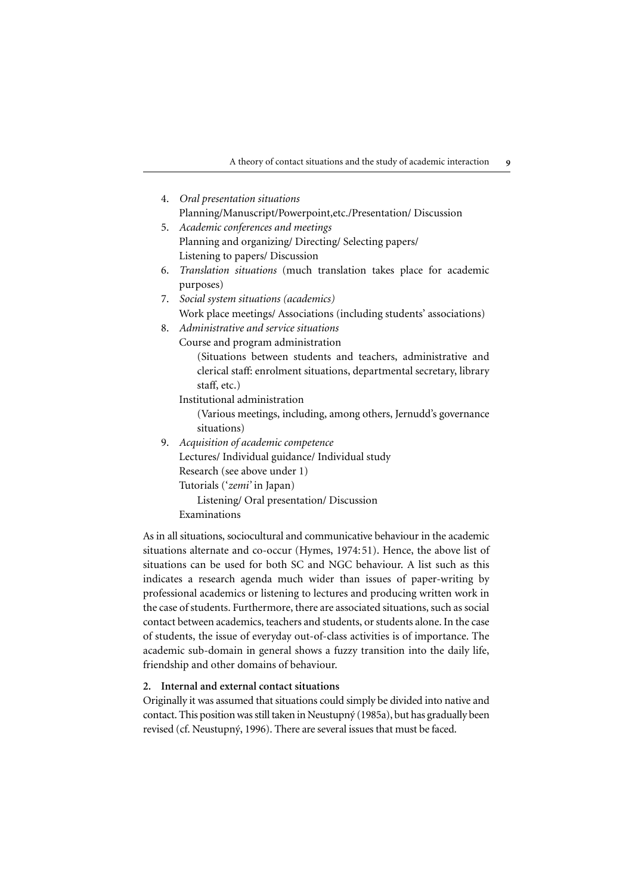- 4. *Oral presentation situations* Planning/Manuscript/Powerpoint,etc./Presentation/ Discussion
- 5. *Academic conferences and meetings* Planning and organizing/ Directing/ Selecting papers/ Listening to papers/ Discussion
- 6. *Translation situations* (much translation takes place for academic purposes)
- 7. *Social system situations (academics)* Work place meetings/ Associations (including students' associations)
- 8. *Administrative and service situations*

Course and program administration

(Situations between students and teachers, administrative and clerical staff: enrolment situations, departmental secretary, library staff, etc.)

Institutional administration

(Various meetings, including, among others, Jernudd's governance situations)

9. *Acquisition of academic competence* Lectures/ Individual guidance/ Individual study Research (see above under 1) Tutorials ('*zemi'* in Japan) Listening/ Oral presentation/ Discussion Examinations

As in all situations, sociocultural and communicative behaviour in the academic situations alternate and co-occur (Hymes, 1974:51). Hence, the above list of situations can be used for both SC and NGC behaviour. A list such as this indicates a research agenda much wider than issues of paper-writing by professional academics or listening to lectures and producing written work in the case of students. Furthermore, there are associated situations, such as social contact between academics, teachers and students, or students alone. In the case of students, the issue of everyday out-of-class activities is of importance. The academic sub-domain in general shows a fuzzy transition into the daily life, friendship and other domains of behaviour. A theory of contact situations and the study of ecademic in the study of ecademic conferences and measuring (Phowerpoint, etc./Presentation/ Discussion S. Academic conferences and measuring the pacer). The must be faced i

# 2. Internal and external contact situations

Originally it was assumed that situations could simply be divided into native and contact. This position was still taken in Neustupný (1985a), but has gradually been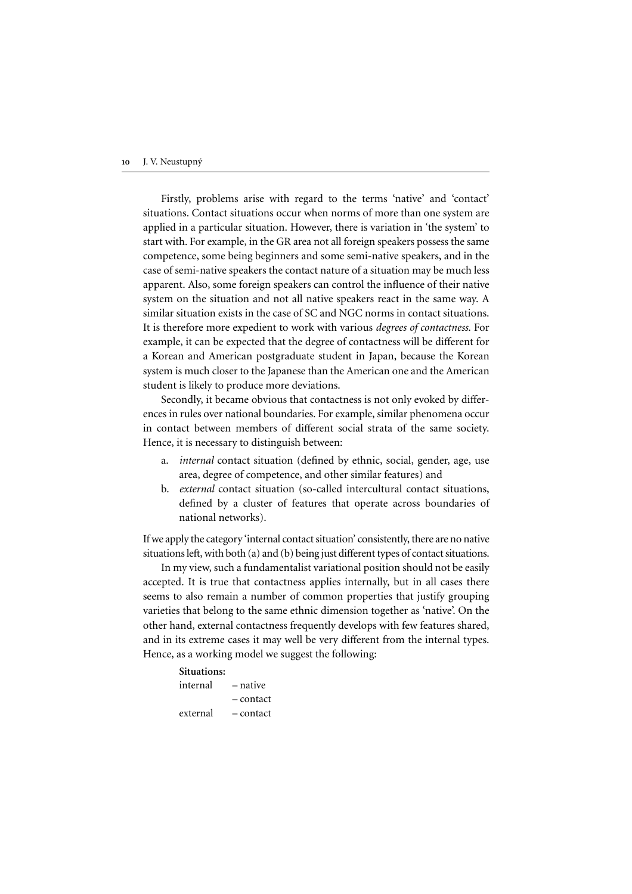Firstly, problems arise with regard to the terms 'native' and 'contact' situations. Contact situations occur when norms of more than one system are applied in a particular situation. However, there is variation in 'the system' to start with. For example, in the GR area not all foreign speakers possess the same competence, some being beginners and some semi-native speakers, and in the case of semi-native speakers the contact nature of a situation may be much less apparent. Also, some foreign speakers can control the influence of their native system on the situation and not all native speakers react in the same way. A similar situation exists in the case of SC and NGC norms in contact situations. It is therefore more expedient to work with various *degrees of contactness*. For example, it can be expected that the degree of contactness will be different for a Korean and American postgraduate student in Japan, because the Korean system is much closer to the Japanese than the American one and the American student is likely to produce more deviations.

Secondly, it became obvious that contactness is not only evoked by differences in rules over national boundaries. For example, similar phenomena occur in contact between members of different social strata of the same society. Hence, it is necessary to distinguish between:

- a. *internal* contact situation (defined by ethnic, social, gender, age, use area, degree of competence, and other similar features) and
- b. *external* contact situation (so-called intercultural contact situations, defined by a cluster of features that operate across boundaries of national networks).

If we apply the category 'internal contact situation' consistently, there are no native situations left, with both (a) and (b) being just different types of contact situations.

In my view, such a fundamentalist variational position should not be easily accepted. It is true that contactness applies internally, but in all cases there seems to also remain a number of common properties that justify grouping varieties that belong to the same ethnic dimension together as 'native'. On the other hand, external contactness frequently develops with few features shared, and in its extreme cases it may well be very different from the internal types. Hence, as a working model we suggest the following:

### Situations: internal – native

– contact external – contact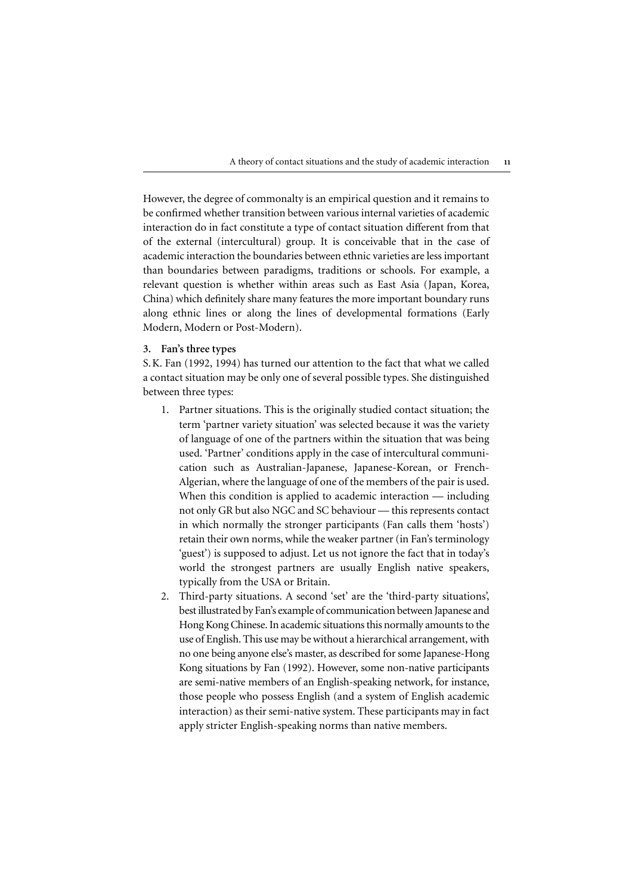However, the degree of commonalty is an empirical question and it remains to be confirmed whether transition between various internal varieties of academic interaction do in fact constitute a type of contact situation different from that of the external (intercultural) group. It is conceivable that in the case of academic interaction the boundaries between ethnic varieties are less important than boundaries between paradigms, traditions or schools. For example, a relevant question is whether within areas such as East Asia (Japan, Korea, China) which definitely share many features the more important boundary runs along ethnic lines or along the lines of developmental formations (Early Modern, Modern or Post-Modern).

### 3. Fan's three types

S.K. Fan (1992, 1994) has turned our attention to the fact that what we called a contact situation may be only one of several possible types. She distinguished between three types:

- 1. Partner situations. This is the originally studied contact situation; the term 'partner variety situation' was selected because it was the variety of language of one of the partners within the situation that was being used. 'Partner' conditions apply in the case of intercultural communication such as Australian-Japanese, Japanese-Korean, or French-Algerian, where the language of one of the members of the pair is used. When this condition is applied to academic interaction — including not only GR but also NGC and SC behaviour — this represents contact in which normally the stronger participants (Fan calls them 'hosts') retain their own norms, while the weaker partner (in Fan's terminology 'guest') is supposed to adjust. Let us not ignore the fact that in today's world the strongest partners are usually English native speakers, typically from the USA or Britain.
- 2. Third-party situations. A second 'set' are the 'third-party situations', best illustrated by Fan's example of communication between Japanese and Hong Kong Chinese. In academic situations this normally amounts to the use of English. This use may be without a hierarchical arrangement, with no one being anyone else's master, as described for some Japanese-Hong Kong situations by Fan (1992). However, some non-native participants are semi-native members of an English-speaking network, for instance, those people who possess English (and a system of English academic interaction) as their semi-native system. These participants may in fact apply stricter English-speaking norms than native members.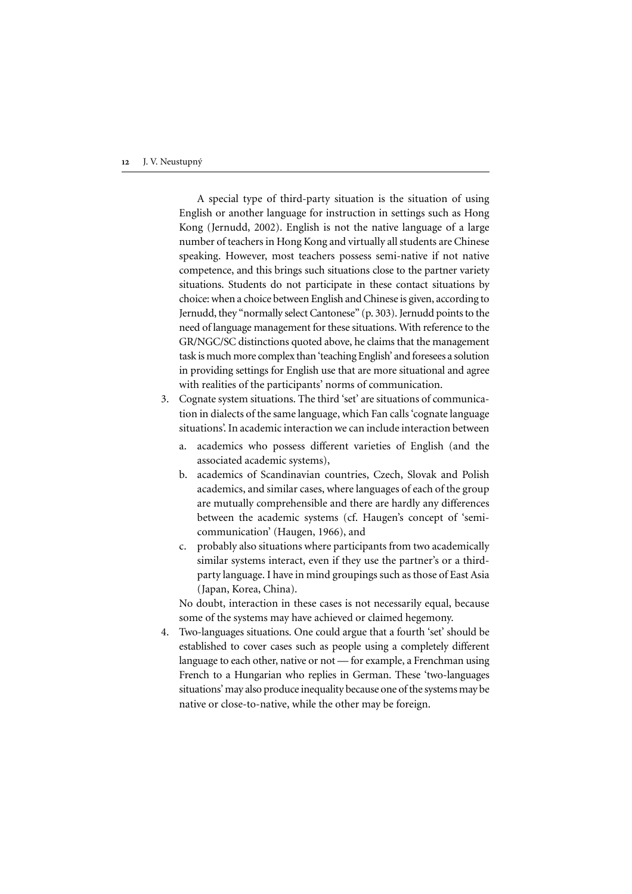A special type of third-party situation is the situation of using English or another language for instruction in settings such as Hong Kong (Jernudd, 2002). English is not the native language of a large number of teachers in Hong Kong and virtually all students are Chinese speaking. However, most teachers possess semi-native if not native competence, and this brings such situations close to the partner variety situations. Students do not participate in these contact situations by choice: when a choice between English and Chinese is given, according to Jernudd, they "normally select Cantonese" (p. 303). Jernudd points to the need of language management for these situations. With reference to the GR/NGC/SC distinctions quoted above, he claims that the management task is much more complex than 'teaching English' and foresees a solution in providing settings for English use that are more situational and agree with realities of the participants' norms of communication. 2. J. V. Neustupny<br>
A special type of third-party situation is the situation of using<br>
English or another language for instruction in settings such as Hong<br>
Kong (Jernudd, 2002). English is not the native language of a la

- 3. Cognate system situations. The third 'set' are situations of communication in dialects of the same language, which Fan calls 'cognate language situations'. In academic interaction we can include interaction between
	- a. academics who possess different varieties of English (and the associated academic systems),
	- b. academics of Scandinavian countries, Czech, Slovak and Polish academics, and similar cases, where languages of each of the group are mutually comprehensible and there are hardly any differences between the academic systems (cf. Haugen's concept of 'semicommunication' (Haugen, 1966), and
	- similar systems interact, even if they use the partner's or a thirdparty language. I have in mind groupings such as those of East Asia (Japan, Korea, China).

No doubt, interaction in these cases is not necessarily equal, because some of the systems may have achieved or claimed hegemony.

4. Two-languages situations. One could argue that a fourth 'set' should be established to cover cases such as people using a completely different language to each other, native or not — for example, a Frenchman using French to a Hungarian who replies in German. These 'two-languages situations' may also produce inequality because one of the systems may be native or close-to-native, while the other may be foreign.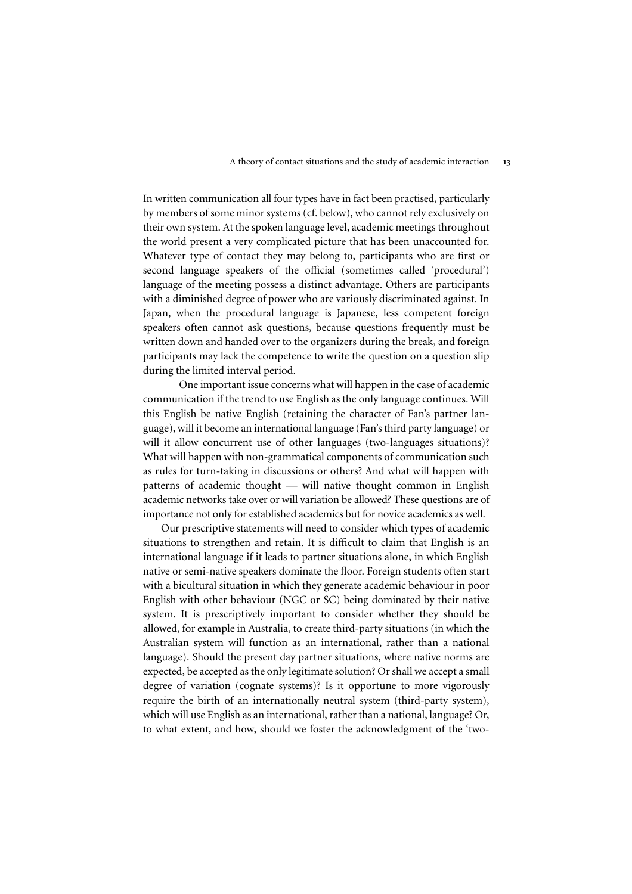In written communication all four types have in fact been practised, particularly by members of some minor systems (cf. below), who cannot rely exclusively on their own system. At the spoken language level, academic meetings throughout the world present a very complicated picture that has been unaccounted for. Whatever type of contact they may belong to, participants who are first or second language speakers of the official (sometimes called 'procedural') language of the meeting possess a distinct advantage. Others are participants with a diminished degree of power who are variously discriminated against. In Japan, when the procedural language is Japanese, less competent foreign speakers often cannot ask questions, because questions frequently must be written down and handed over to the organizers during the break, and foreign participants may lack the competence to write the question on a question slip during the limited interval period.

One important issue concerns what will happen in the case of academic communication if the trend to use English as the only language continues. Will this English be native English (retaining the character of Fan's partner language), will it become an international language (Fan's third party language) or will it allow concurrent use of other languages (two-languages situations)? What will happen with non-grammatical components of communication such as rules for turn-taking in discussions or others? And what will happen with patterns of academic thought — will native thought common in English academic networks take over or will variation be allowed? These questions are of importance not only for established academics but for novice academics as well.

Our prescriptive statements will need to consider which types of academic situations to strengthen and retain. It is difficult to claim that English is an international language if it leads to partner situations alone, in which English native or semi-native speakers dominate the floor. Foreign students often start with a bicultural situation in which they generate academic behaviour in poor English with other behaviour (NGC or SC) being dominated by their native system. It is prescriptively important to consider whether they should be allowed, for example in Australia, to create third-party situations (in which the Australian system will function as an international, rather than a national language). Should the present day partner situations, where native norms are expected, be accepted as the only legitimate solution? Or shall we accept a small degree of variation (cognate systems)? Is it opportune to more vigorously require the birth of an internationally neutral system (third-party system), which will use English as an international, rather than a national, language? Or, to what extent, and how, should we foster the acknowledgment of the 'two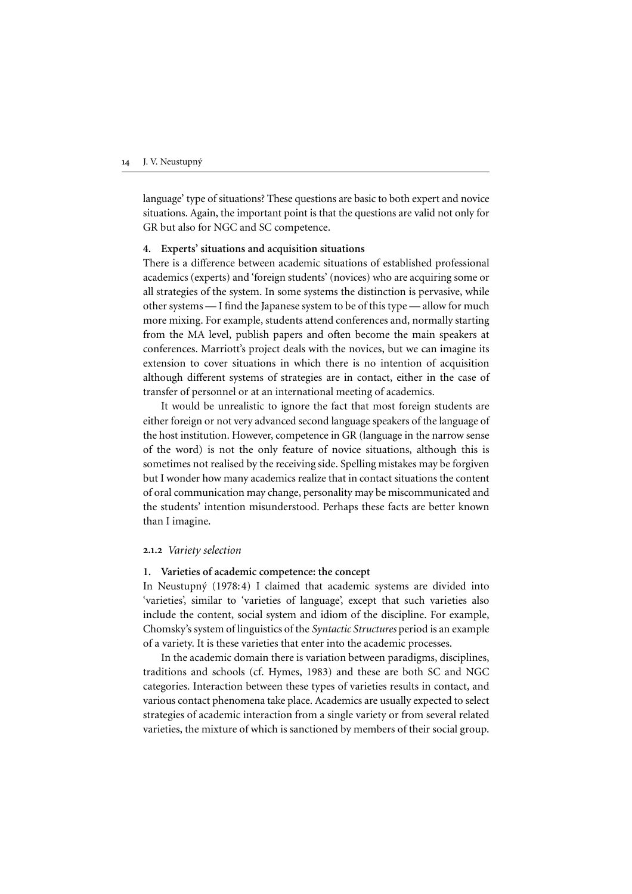language' type of situations? These questions are basic to both expert and novice situations. Again, the important point is that the questions are valid not only for GR but also for NGC and SC competence.

#### 4. Experts' situations and acquisition situations

There is a difference between academic situations of established professional academics (experts) and 'foreign students' (novices) who are acquiring some or all strategies of the system. In some systems the distinction is pervasive, while other systems — I find the Japanese system to be of this type — allow for much more mixing. For example, students attend conferences and, normally starting from the MA level, publish papers and often become the main speakers at conferences. Marriott's project deals with the novices, but we can imagine its extension to cover situations in which there is no intention of acquisition although different systems of strategies are in contact, either in the case of transfer of personnel or at an international meeting of academics.  $1. \times$  Neutupny (specifications? These questions are basic to both expert and novice situations) (the interaction Aggin, the important point is that the questions are scalibled professional GR but also for NGC and SC comp

It would be unrealistic to ignore the fact that most foreign students are either foreign or not very advanced second language speakers of the language of the host institution. However, competence in GR (language in the narrow sense of the word) is not the only feature of novice situations, although this is sometimes not realised by the receiving side. Spelling mistakes may be forgiven but I wonder how many academics realize that in contact situations the content of oral communication may change, personality may be miscommunicated and the students' intention misunderstood. Perhaps these facts are better known than I imagine.

#### 2.1.2 *Variety selection*

#### 1. Varieties of academic competence: the concept

In Neustupný (1978:4) I claimed that academic systems are divided into 'varieties', similar to 'varieties of language', except that such varieties also include the content, social system and idiom of the discipline. For example, Chomsky's system of linguistics of the *Syntactic Structures* period is an example of a variety. It is these varieties that enter into the academic processes.

In the academic domain there is variation between paradigms, disciplines, traditions and schools (cf. Hymes, 1983) and these are both SC and NGC various contact phenomena take place. Academics are usually expected to select strategies of academic interaction from a single variety or from several related varieties, the mixture of which is sanctioned by members of their social group.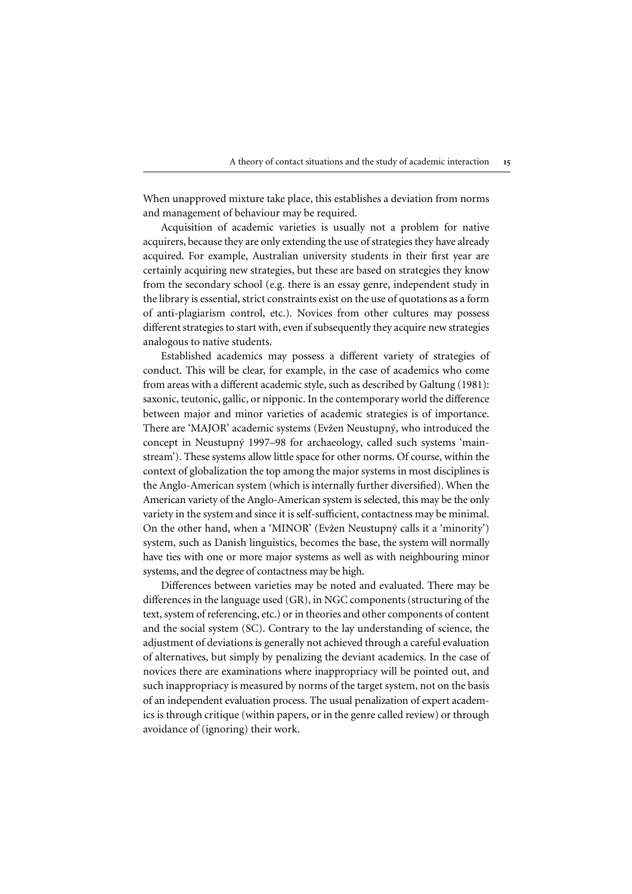When unapproved mixture take place, this establishes a deviation from norms and management of behaviour may be required.

Acquisition of academic varieties is usually not a problem for native acquirers, because they are only extending the use of strategies they have already acquired. For example, Australian university students in their first year are certainly acquiring new strategies, but these are based on strategies they know from the secondary school (e.g. there is an essay genre, independent study in the library is essential, strict constraints exist on the use of quotations as a form of anti-plagiarism control, etc.). Novices from other cultures may possess different strategies to start with, even if subsequently they acquire new strategies analogous to native students. A theory of contact situations and the study of a<br>cademic interaction with the parameter of behaviour may be required. A<br>causition of condensity and management of behaviour may be required. A<br>causition of a cademic variet

Established academics may possess a different variety of strategies of conduct. This will be clear, for example, in the case of academics who come from areas with a different academic style, such as described by Galtung (1981): saxonic, teutonic, gallic, or nipponic. In the contemporary world the difference between major and minor varieties of academic strategies is of importance. There are 'MAJOR' academic systems (Evžen Neustupný, who introduced the concept in Neustupný 1997–98 for archaeology, called such systems 'main context of globalization the top among the major systems in most disciplines is the Anglo-American system (which is internally further diversified). When the American variety of the Anglo-American system is selected, this may be the only variety in the system and since it is self-sufficient, contactness may be minimal. On the other hand, when a 'MINOR' (Evžen Neustupný calls it a 'minority') system, such as Danish linguistics, becomes the base, the system will normally have ties with one or more major systems as well as with neighbouring minor systems, and the degree of contactness may be high.

Differences between varieties may be noted and evaluated. There may be differences in the language used (GR), in NGC components (structuring of the text, system of referencing, etc.) or in theories and other components of content and the social system (SC). Contrary to the lay understanding of science, the adjustment of deviations is generally not achieved through a careful evaluation of alternatives, but simply by penalizing the deviant academics. In the case of novices there are examinations where inappropriacy will be pointed out, and such inappropriacy is measured by norms of the target system, not on the basis of an independent evaluation process. The usual penalization of expert academics is through critique (within papers, or in the genre called review) or through avoidance of (ignoring) their work.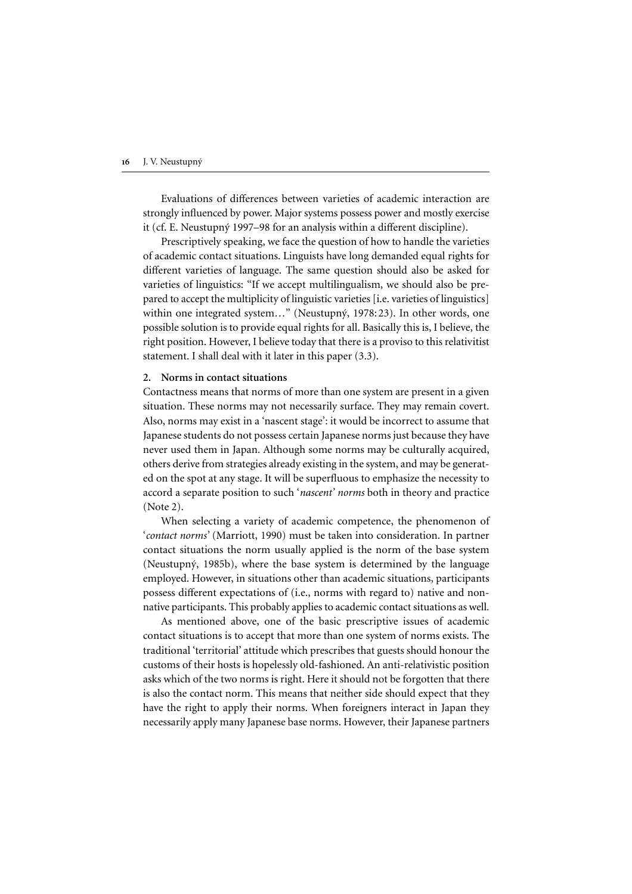Evaluations of differences between varieties of academic interaction are strongly influenced by power. Major systems possess power and mostly exercise it (cf. E. Neustupný 1997–98 for an analysis within a different discipline).

Prescriptively speaking, we face the question of how to handle the varieties of academic contact situations. Linguists have long demanded equal rights for different varieties of language. The same question should also be asked for varieties of linguistics: "If we accept multilingualism, we should also be prepared to accept the multiplicity of linguistic varieties [i.e. varieties of linguistics] within one integrated system…" (Neustupný, 1978:23). In other words, one possible solution is to provide equal rights for all. Basically this is, I believe, the right position. However, I believe today that there is a proviso to this relativitist statement. I shall deal with it later in this paper (3.3).

#### 2. Norms in contact situations

Contactness means that norms of more than one system are present in a given situation. These norms may not necessarily surface. They may remain covert. Also, norms may exist in a 'nascent stage': it would be incorrect to assume that Japanese students do not possess certain Japanese norms just because they have never used them in Japan. Although some norms may be culturally acquired, others derive from strategies already existing in the system, and may be generated on the spot at any stage. It will be superfluous to emphasize the necessity to accord a separate position to such '*nascent' norms* both in theory and practice (Note 2). The station of differences between varieties of academic interaction are strongly influenced by power. Major systems possess power and mostly exercise it (cf. F. Neustupny 1997–98 for an analysis within a different discip

When selecting a variety of academic competence, the phenomenon of '*contact norms'* (Marriott, 1990) must be taken into consideration. In partner (Neustupný, 1985b), where the base system is determined by the language employed. However, in situations other than academic situations, participants possess different expectations of (i.e., norms with regard to) native and nonnative participants. This probably applies to academic contact situations as well.

As mentioned above, one of the basic prescriptive issues of academic contact situations is to accept that more than one system of norms exists. The traditional 'territorial' attitude which prescribes that guests should honour the customs of their hosts is hopelessly old-fashioned. An anti-relativistic position asks which of the two norms is right. Here it should not be forgotten that there is also the contact norm. This means that neither side should expect that they have the right to apply their norms. When foreigners interact in Japan they necessarily apply many Japanese base norms. However, their Japanese partners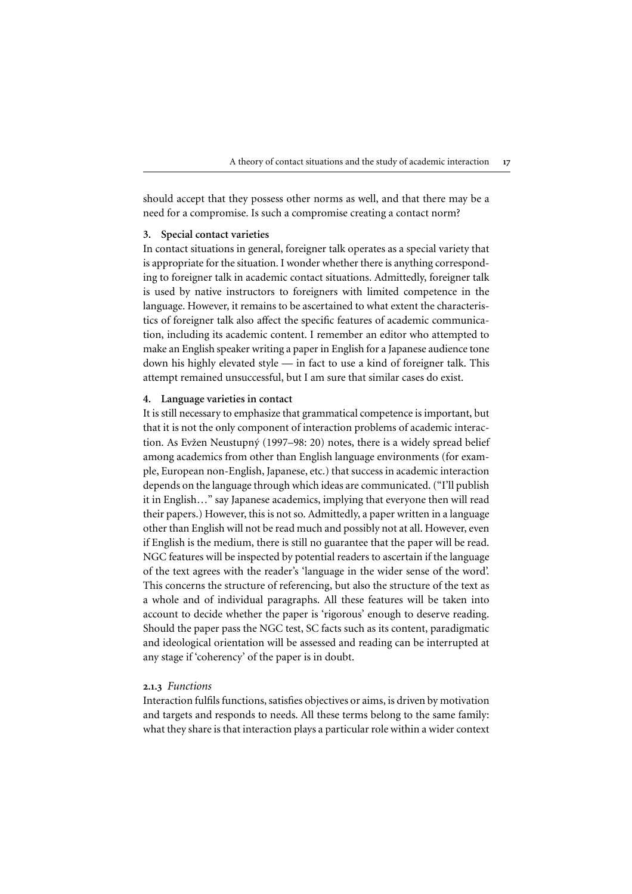should accept that they possess other norms as well, and that there may be a need for a compromise. Is such a compromise creating a contact norm?

### 3. Special contact varieties

In contact situations in general, foreigner talk operates as a special variety that is appropriate for the situation. I wonder whether there is anything corresponding to foreigner talk in academic contact situations. Admittedly, foreigner talk is used by native instructors to foreigners with limited competence in the language. However, it remains to be ascertained to what extent the characteristics of foreigner talk also affect the specific features of academic communication, including its academic content. I remember an editor who attempted to make an English speaker writing a paper in English for a Japanese audience tone down his highly elevated style — in fact to use a kind of foreigner talk. This attempt remained unsuccessful, but I am sure that similar cases do exist.

# 4. Language varieties in contact

It is still necessary to emphasize that grammatical competence is important, but that it is not the only component of interaction problems of academic interaction. As Evžen Neustupný (1997–98: 20) notes, there is a widely spread belief among academics from other than English language environments (for example, European non-English, Japanese, etc.) that success in academic interaction depends on the language through which ideas are communicated. ("I'll publish it in English…" say Japanese academics, implying that everyone then will read their papers.) However, this is not so. Admittedly, a paper written in a language other than English will not be read much and possibly not at all. However, even if English is the medium, there is still no guarantee that the paper will be read. NGC features will be inspected by potential readers to ascertain if the language of the text agrees with the reader's 'language in the wider sense of the word'. This concerns the structure of referencing, but also the structure of the text as a whole and of individual paragraphs. All these features will be taken into account to decide whether the paper is 'rigorous' enough to deserve reading. Should the paper pass the NGC test, SC facts such as its content, paradigmatic and ideological orientation will be assessed and reading can be interrupted at any stage if 'coherency' of the paper is in doubt.

# 2.1.3 *Functions*

Interaction fulfils functions, satisfies objectives or aims, is driven by motivation and targets and responds to needs. All these terms belong to the same family: what they share is that interaction plays a particular role within a wider context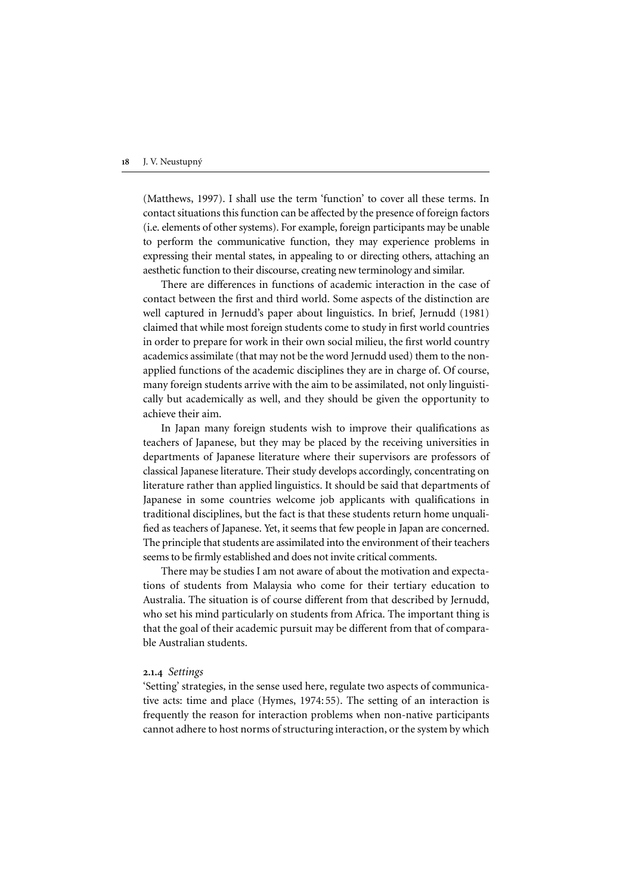(Matthews, 1997). I shall use the term 'function' to cover all these terms. In contact situations this function can be affected by the presence of foreign factors (i.e. elements of other systems). For example, foreign participants may be unable to perform the communicative function, they may experience problems in expressing their mental states, in appealing to or directing others, attaching an aesthetic function to their discourse, creating new terminology and similar. 18 J. V. Neustupný<br>
(Matthews, 1997). I shall use the term 'function' to cover all these terms. In<br>
contact situations this function can be affected by the presence of foreign factors<br>
(i.e. elements of other systems). For

There are differences in functions of academic interaction in the case of contact between the first and third world. Some aspects of the distinction are well captured in Jernudd's paper about linguistics. In brief, Jernudd (1981) in order to prepare for work in their own social milieu, the first world country academics assimilate (that may not be the word Jernudd used) them to the nonapplied functions of the academic disciplines they are in charge of. Of course, many foreign students arrive with the aim to be assimilated, not only linguistically but academically as well, and they should be given the opportunity to achieve their aim.

In Japan many foreign students wish to improve their qualifications as teachers of Japanese, but they may be placed by the receiving universities in departments of Japanese literature where their supervisors are professors of classical Japanese literature. Their study develops accordingly, concentrating on literature rather than applied linguistics. It should be said that departments of Japanese in some countries welcome job applicants with qualifications in traditional disciplines, but the fact is that these students return home unqualified as teachers of Japanese. Yet, it seems that few people in Japan are concerned. The principle that students are assimilated into the environment of their teachers seems to be firmly established and does not invite critical comments. 18 J. V. Neutupny (Matthews, 1997). I shall use the term 'function' to cover all these terms, contact situations this function can be affected by the presence of foreign factors for comparison to perform the communicative

There may be studies I am not aware of about the motivation and expectations of students from Malaysia who come for their tertiary education to Australia. The situation is of course different from that described by Jernudd, who set his mind particularly on students from Africa. The important thing is that the goal of their academic pursuit may be different from that of comparable Australian students.

#### 2.1.4 *Settings*

'Setting' strategies, in the sense used here, regulate two aspects of communicative acts: time and place (Hymes, 1974:55). The setting of an interaction is cannot adhere to host norms of structuring interaction, or the system by which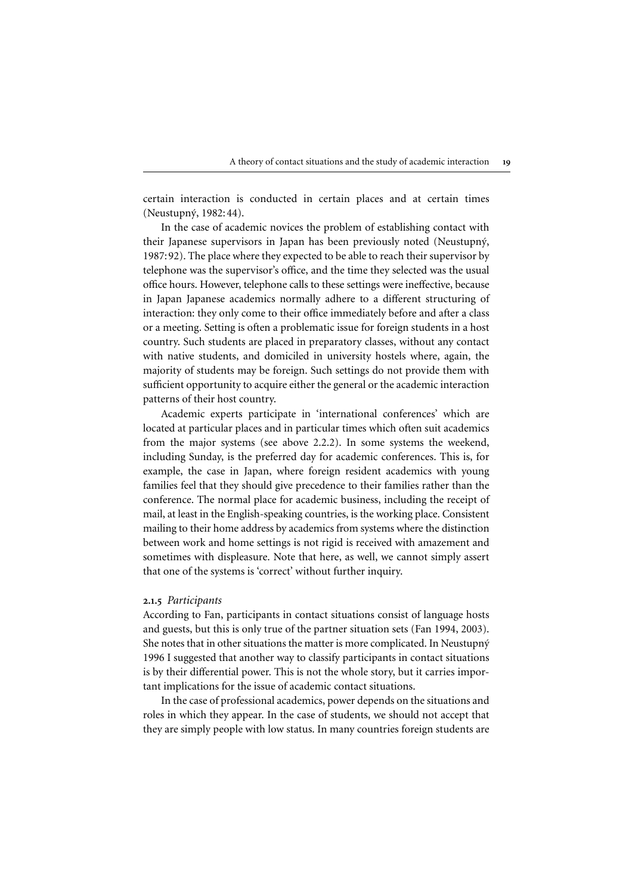certain interaction is conducted in certain places and at certain times (Neustupný, 1982:44).

In the case of academic novices the problem of establishing contact with their Japanese supervisors in Japan has been previously noted (Neustupný, 1987:92). The place where they expected to be able to reach their supervisor by telephone was the supervisor's office, and the time they selected was the usual office hours. However, telephone calls to these settings were ineffective, because in Japan Japanese academics normally adhere to a different structuring of interaction: they only come to their office immediately before and after a class or a meeting. Setting is often a problematic issue for foreign students in a host country. Such students are placed in preparatory classes, without any contact with native students, and domiciled in university hostels where, again, the majority of students may be foreign. Such settings do not provide them with sufficient opportunity to acquire either the general or the academic interaction patterns of their host country. A theory of contact situations and the study of academic interaction<br>
certain interaction is conducted in certain places and at certain times<br>
(Neustupny, 1982-44). The lease of academic novices the problem of establishin

Academic experts participate in 'international conferences' which are located at particular places and in particular times which often suit academics from the major systems (see above 2.2.2). In some systems the weekend, including Sunday, is the preferred day for academic conferences. This is, for example, the case in Japan, where foreign resident academics with young families feel that they should give precedence to their families rather than the conference. The normal place for academic business, including the receipt of mail, at least in the English-speaking countries, is the working place. Consistent mailing to their home address by academics from systems where the distinction between work and home settings is not rigid is received with amazement and sometimes with displeasure. Note that here, as well, we cannot simply assert that one of the systems is 'correct' without further inquiry.

#### 2.1.5 *Participants*

According to Fan, participants in contact situations consist of language hosts and guests, but this is only true of the partner situation sets (Fan 1994, 2003). 1996 I suggested that another way to classify participants in contact situations is by their differential power. This is not the whole story, but it carries important implications for the issue of academic contact situations.

In the case of professional academics, power depends on the situations and roles in which they appear. In the case of students, we should not accept that they are simply people with low status. In many countries foreign students are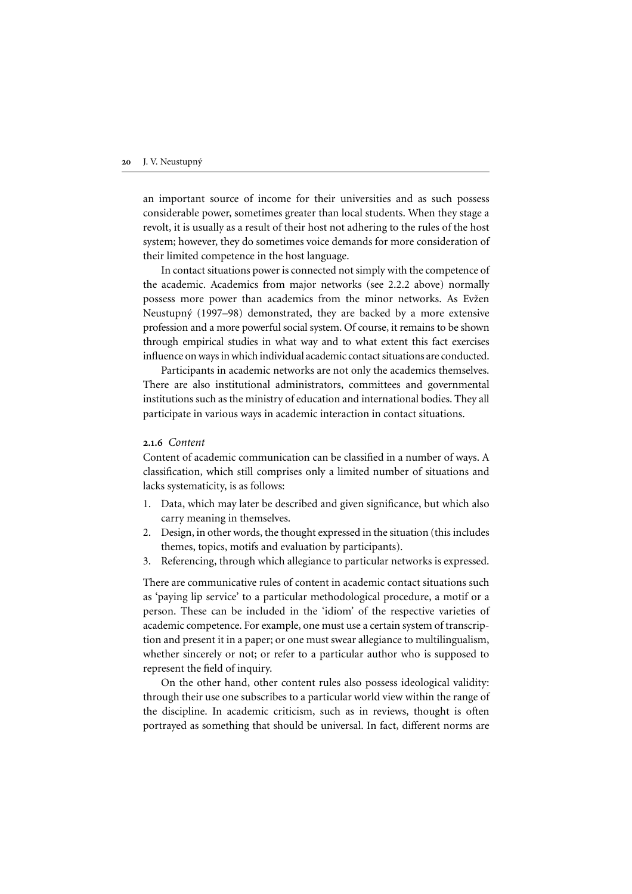an important source of income for their universities and as such possess considerable power, sometimes greater than local students. When they stage a revolt, it is usually as a result of their host not adhering to the rules of the host system; however, they do sometimes voice demands for more consideration of their limited competence in the host language.

In contact situations power is connected not simply with the competence of the academic. Academics from major networks (see 2.2.2 above) normally possess more power than academics from the minor networks. As Evžen Neustupný (1997–98) demonstrated, they are backed by a more extensive profession and a more powerful social system. Of course, it remains to be shown through empirical studies in what way and to what extent this fact exercises influence on ways in which individual academic contact situations are conducted.

Participants in academic networks are not only the academics themselves. There are also institutional administrators, committees and governmental institutions such as the ministry of education and international bodies. They all participate in various ways in academic interaction in contact situations.

#### 2.1.6 *Content*

Content of academic communication can be classified in a number of ways. A classification, which still comprises only a limited number of situations and lacks systematicity, is as follows:

- 1. Data, which may later be described and given significance, but which also carry meaning in themselves.
- 2. Design, in other words, the thought expressed in the situation (this includes themes, topics, motifs and evaluation by participants).
- 3. Referencing, through which allegiance to particular networks is expressed.

There are communicative rules of content in academic contact situations such as 'paying lip service' to a particular methodological procedure, a motif or a person. These can be included in the 'idiom' of the respective varieties of academic competence. For example, one must use a certain system of transcription and present it in a paper; or one must swear allegiance to multilingualism, whether sincerely or not; or refer to a particular author who is supposed to represent the field of inquiry.

On the other hand, other content rules also possess ideological validity: through their use one subscribes to a particular world view within the range of the discipline. In academic criticism, such as in reviews, thought is often portrayed as something that should be universal. In fact, different norms are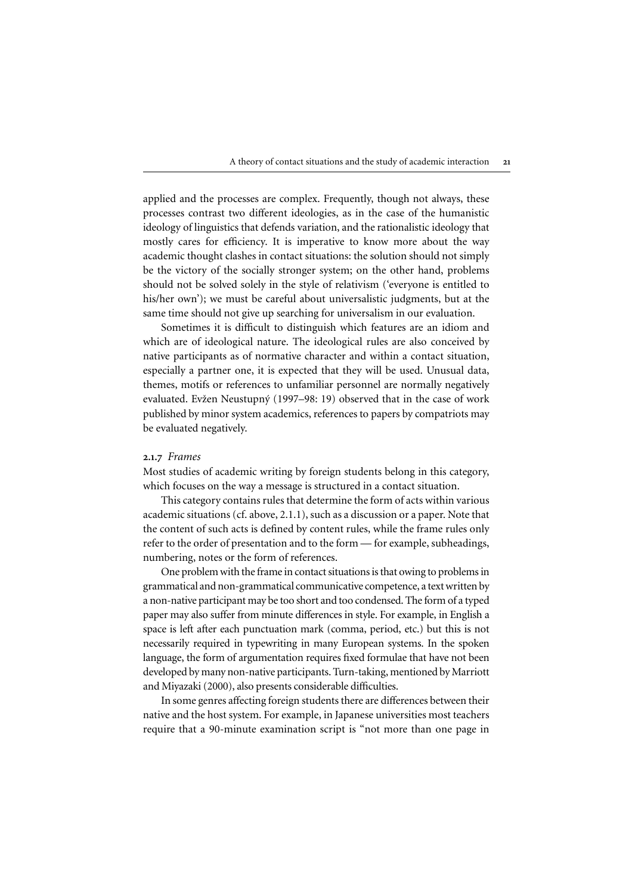applied and the processes are complex. Frequently, though not always, these processes contrast two different ideologies, as in the case of the humanistic ideology of linguistics that defends variation, and the rationalistic ideology that mostly cares for efficiency. It is imperative to know more about the way academic thought clashes in contact situations: the solution should not simply be the victory of the socially stronger system; on the other hand, problems should not be solved solely in the style of relativism ('everyone is entitled to his/her own'); we must be careful about universalistic judgments, but at the same time should not give up searching for universalism in our evaluation.

Sometimes it is difficult to distinguish which features are an idiom and which are of ideological nature. The ideological rules are also conceived by native participants as of normative character and within a contact situation, especially a partner one, it is expected that they will be used. Unusual data, themes, motifs or references to unfamiliar personnel are normally negatively evaluated. Evžen Neustupný (1997–98: 19) observed that in the case of work published by minor system academics, references to papers by compatriots may be evaluated negatively.

#### 2.1.7 *Frames*

Most studies of academic writing by foreign students belong in this category, which focuses on the way a message is structured in a contact situation.

This category contains rules that determine the form of acts within various academic situations (cf. above, 2.1.1), such as a discussion or a paper. Note that the content of such acts is defined by content rules, while the frame rules only refer to the order of presentation and to the form — for example, subheadings, numbering, notes or the form of references.

One problem with the frame in contact situations is that owing to problems in grammatical and non-grammatical communicative competence, a text written by a non-native participant may be too short and too condensed. The form of a typed paper may also suffer from minute differences in style. For example, in English a space is left after each punctuation mark (comma, period, etc.) but this is not necessarily required in typewriting in many European systems. In the spoken language, the form of argumentation requires fixed formulae that have not been developed by many non-native participants. Turn-taking, mentioned by Marriott A theory of contact situations and the study<br>
applied and the processes are complex. Frequently, thou<br>
processes contrast two different ideologies, as in the cat<br>
ideology of linguistics that defends variation, and the ra

> In some genres affecting foreign students there are differences between their native and the host system. For example, in Japanese universities most teachers require that a 90-minute examination script is "not more than one page in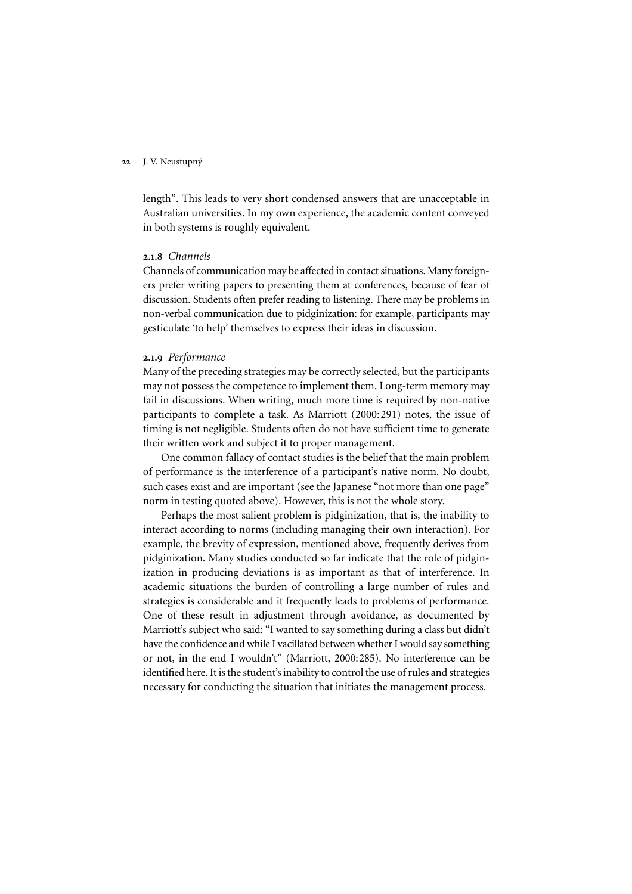length". This leads to very short condensed answers that are unacceptable in Australian universities. In my own experience, the academic content conveyed in both systems is roughly equivalent.

#### 2.1.8 *Channels*

Channels of communication may be affected in contact situations. Many foreigners prefer writing papers to presenting them at conferences, because of fear of discussion. Students often prefer reading to listening. There may be problems in non-verbal communication due to pidginization: for example, participants may gesticulate 'to help' themselves to express their ideas in discussion.

### 2.1.9 *Performance*

Many of the preceding strategies may be correctly selected, but the participants may not possess the competence to implement them. Long-term memory may fail in discussions. When writing, much more time is required by non-native participants to complete a task. As Marriott (2000:291) notes, the issue of timing is not negligible. Students often do not have sufficient time to generate their written work and subject it to proper management.

One common fallacy of contact studies is the belief that the main problem of performance is the interference of a participant's native norm. No doubt, such cases exist and are important (see the Japanese "not more than one page" norm in testing quoted above). However, this is not the whole story.

Perhaps the most salient problem is pidginization, that is, the inability to interact according to norms (including managing their own interaction). For example, the brevity of expression, mentioned above, frequently derives from pidginization. Many studies conducted so far indicate that the role of pidginization in producing deviations is as important as that of interference. In academic situations the burden of controlling a large number of rules and strategies is considerable and it frequently leads to problems of performance. One of these result in adjustment through avoidance, as documented by Marriott's subject who said: "I wanted to say something during a class but didn't have the confidence and while I vacillated between whether I would say something or not, in the end I wouldn't" (Marriott, 2000:285). No interference can be identified here. It is the student's inability to control the use of rules and strategies necessary for conducting the situation that initiates the management process.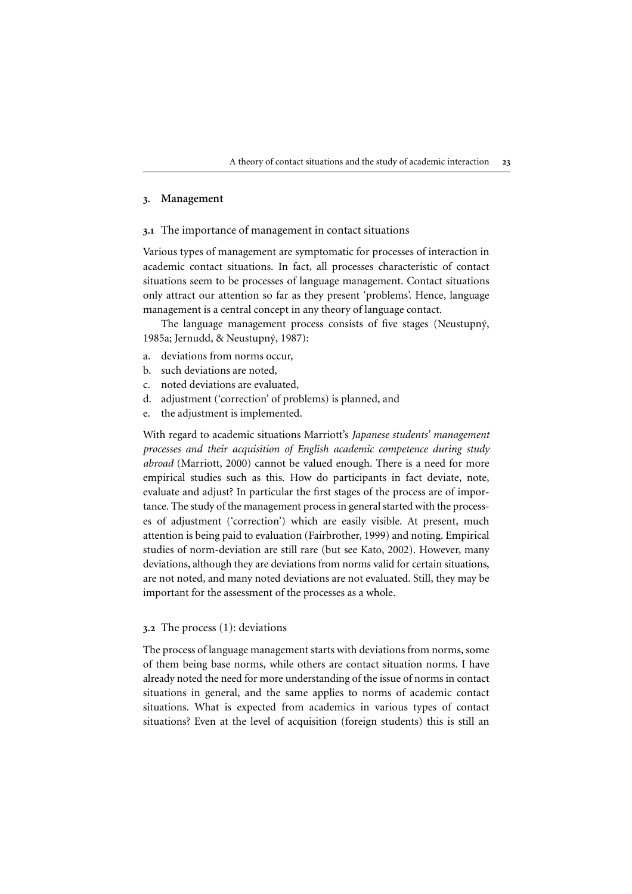# 3. Management

### 3.1 The importance of management in contact situations

Various types of management are symptomatic for processes of interaction in academic contact situations. In fact, all processes characteristic of contact situations seem to be processes of language management. Contact situations only attract our attention so far as they present 'problems'. Hence, language management is a central concept in any theory of language contact. A theory of cont.<br>
3. Management<br>
3.1 The importance of managen<br>
Various types of management are<br>
academic contact situations. In<br>
situations seem to be processes of<br>
only attract our attention so far<br>
1 management is a ce A theory of contact situations and the study of academic interaction<br>
3. Management<br>
3. The importance of management in contact situations<br>
Various types of management are symptomatic for processes of interaction in<br>
acade

The language management process consists of five stages (Neustupný, 1985a; Jernudd, & Neustupný, 1987):

- 
- b. such deviations are noted,
- c. noted deviations are evaluated,
- d. adjustment ('correction' of problems) is planned, and
- e. the adjustment is implemented.

With regard to academic situations Marriott's *Japanese students' management processes and their acquisition of English academic competence during study abroad* (Marriott, 2000) cannot be valued enough. There is a need for more evaluate and adjust? In particular the first stages of the process are of importance. The study of the management process in general started with the processes of adjustment ('correction') which are easily visible. At present, much attention is being paid to evaluation (Fairbrother, 1999) and noting. Empirical A theory of contact situations and the study of academic interaction<br>
3. Management<br>
3.1 The importance of management in contact situations<br>
Various types of management are symptomatic for processes of interaction in<br>
aca A theory of contact situations and the study of academic interaction<br>
3. Management<br>
3. The importance of management in contact situations<br>
Various types of management are symptomatic for processes of interaction in<br>
acad are not noted, and many noted deviations are not evaluated. Still, they may be important for the assessment of the processes as a whole.

### 3.2 The process (1): deviations

The process of language management starts with deviations from norms, some of them being base norms, while others are contact situation norms. I have already noted the need for more understanding of the issue of norms in contact situations in general, and the same applies to norms of academic contact situations. What is expected from academics in various types of contact situations? Even at the level of acquisition (foreign students) this is still an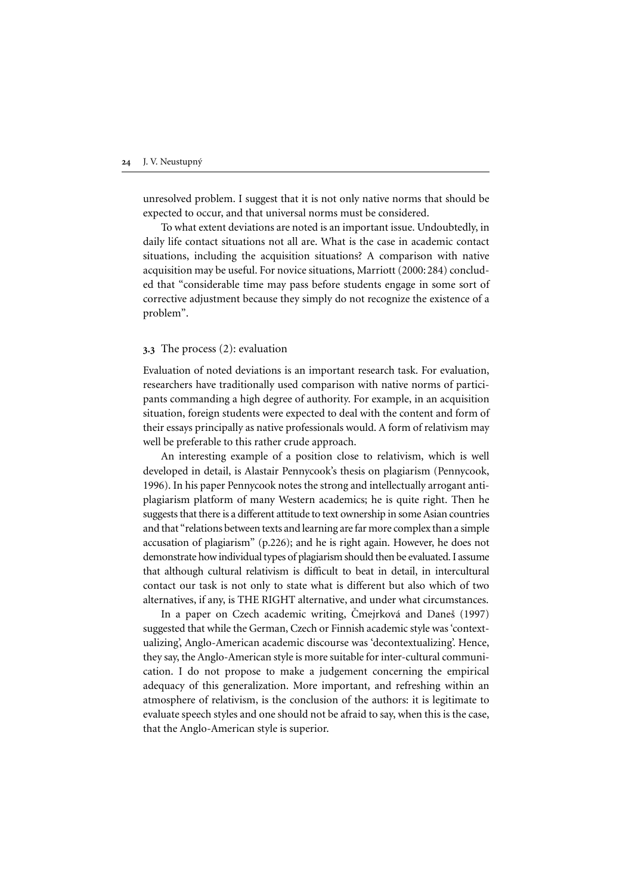unresolved problem. I suggest that it is not only native norms that should be expected to occur, and that universal norms must be considered.

To what extent deviations are noted is an important issue. Undoubtedly, in daily life contact situations not all are. What is the case in academic contact situations, including the acquisition situations? A comparison with native acquisition may be useful. For novice situations, Marriott (2000:284) conclud ed that "considerable time may pass before students engage in some sort of corrective adjustment because they simply do not recognize the existence of a problem". 24 I. V. Neustupny (and that it is not only native norms that should be expected to occur, and that universal norms must be considered.<br>To what extent deviations are noted is an important issue. Undoubtedly, in daily life

#### 3.3 The process (2): evaluation

Evaluation of noted deviations is an important research task. For evaluation, researchers have traditionally used comparison with native norms of participants commanding a high degree of authority. For example, in an acquisition situation, foreign students were expected to deal with the content and form of their essays principally as native professionals would. A form of relativism may well be preferable to this rather crude approach.

An interesting example of a position close to relativism, which is well developed in detail, is Alastair Pennycook's thesis on plagiarism (Pennycook, plagiarism platform of many Western academics; he is quite right. Then he suggests that there is a different attitude to text ownership in some Asian countries and that "relations between texts and learning are far more complex than a simple accusation of plagiarism" (p.226); and he is right again. However, he does not demonstrate how individual types of plagiarism should then be evaluated. I assume that although cultural relativism is difficult to beat in detail, in intercultural contact our task is not only to state what is different but also which of two alternatives, if any, is THE RIGHT alternative, and under what circumstances.

In a paper on Czech academic writing, Čmejrková and Daneš (1997) suggested that while the German, Czech or Finnish academic style was 'contextualizing', Anglo-American academic discourse was 'decontextualizing'. Hence, they say, the Anglo-American style is more suitable for inter-cultural communication. I do not propose to make a judgement concerning the empirical adequacy of this generalization. More important, and refreshing within an atmosphere of relativism, is the conclusion of the authors: it is legitimate to evaluate speech styles and one should not be afraid to say, when this is the case, that the Anglo-American style is superior.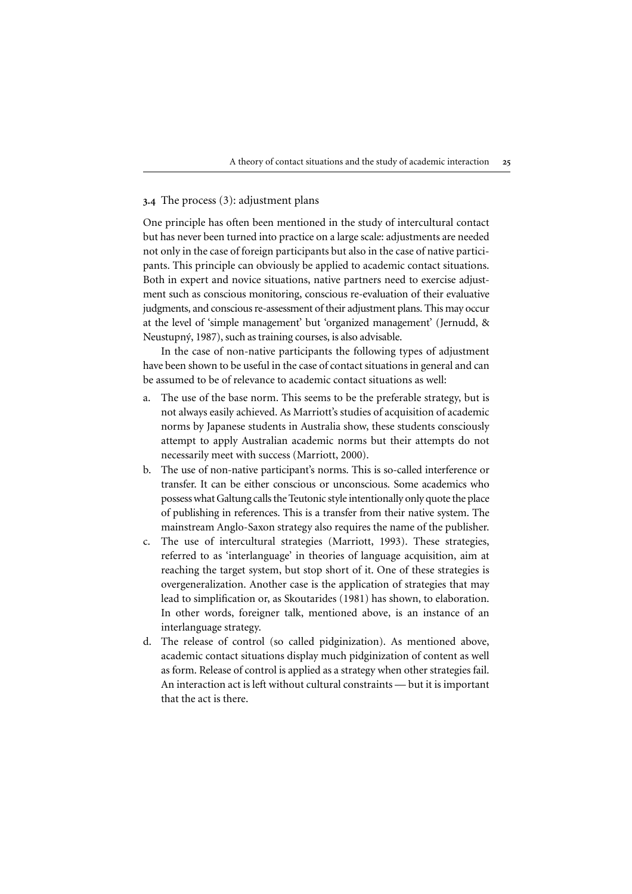### 3.4 The process (3): adjustment plans

One principle has often been mentioned in the study of intercultural contact but has never been turned into practice on a large scale: adjustments are needed not only in the case of foreign participants but also in the case of native participants. This principle can obviously be applied to academic contact situations. Both in expert and novice situations, native partners need to exercise adjustment such as conscious monitoring, conscious re-evaluation of their evaluative judgments, and conscious re-assessment of their adjustment plans. This may occur at the level of 'simple management' but 'organized management' (Jernudd, & Neustupný, 1987), such as training courses, is also advisable. A theory of contact situations and the study of academic interaction<br>3-4 The process (3): adjustment plans<br>One principle has often been mentioned in the study of intercultural contact<br>but has never been turned into practi A theory of contact situations and the study of academic interaction<br>3-4 The process (3): adjustment plans<br>One principle has often been thermolonical in the study of intercultural contact<br>but has never been turned into pr

In the case of non-native participants the following types of adjustment have been shown to be useful in the case of contact situations in general and can be assumed to be of relevance to academic contact situations as well:

- a. The use of the base norm. This seems to be the preferable strategy, but is not always easily achieved. As Marriott's studies of acquisition of academic norms by Japanese students in Australia show, these students consciously attempt to apply Australian academic norms but their attempts do not necessarily meet with success (Marriott, 2000).
- transfer. It can be either conscious or unconscious. Some academics who possess what Galtung calls the Teutonic style intentionally only quote the place of publishing in references. This is a transfer from their native system. The mainstream Anglo-Saxon strategy also requires the name of the publisher.
- c. The use of intercultural strategies (Marriott, 1993). These strategies, referred to as 'interlanguage' in theories of language acquisition, aim at reaching the target system, but stop short of it. One of these strategies is overgeneralization. Another case is the application of strategies that may lead to simplification or, as Skoutarides (1981) has shown, to elaboration. interlanguage strategy.
- d. The release of control (so called pidginization). As mentioned above, academic contact situations display much pidginization of content as well as form. Release of control is applied as a strategy when other strategies fail. An interaction act is left without cultural constraints — but it is important that the act is there.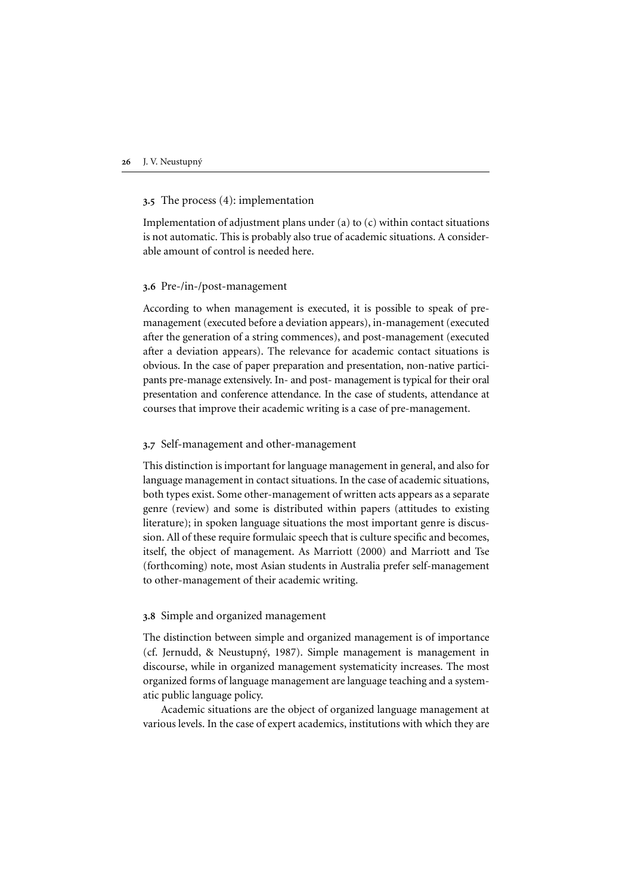# 3.5 The process (4): implementation

Implementation of adjustment plans under (a) to (c) within contact situations is not automatic. This is probably also true of academic situations. A considerable amount of control is needed here.

### 3.6 Pre-/in-/post-management

According to when management is executed, it is possible to speak of premanagement (executed before a deviation appears), in-management (executed after the generation of a string commences), and post-management (executed after a deviation appears). The relevance for academic contact situations is obvious. In the case of paper preparation and presentation, non-native participants pre-manage extensively. In- and post- management is typical for their oral presentation and conference attendance. In the case of students, attendance at courses that improve their academic writing is a case of pre-management.

### 3.7 Self-management and other-management

This distinction is important for language management in general, and also for language management in contact situations. In the case of academic situations, both types exist. Some other-management of written acts appears as a separate genre (review) and some is distributed within papers (attitudes to existing literature); in spoken language situations the most important genre is discussion. All of these require formulaic speech that is culture specific and becomes, itself, the object of management. As Marriott (2000) and Marriott and Tse (forthcoming) note, most Asian students in Australia prefer self-management to other-management of their academic writing. 26 J. V. Neustupny (1): implementation manuform (4) to (c) within contact situations is not automatic. This is probably also true of academic situations. A considerable amount of control is needed here.<br>
36 Pre-/in-/post-

### 3.8 Simple and organized management

The distinction between simple and organized management is of importance (cf. Jernudd, & Neustupný, 1987). Simple management is management in organized forms of language management are language teaching and a systematic public language policy.

Academic situations are the object of organized language management at various levels. In the case of expert academics, institutions with which they are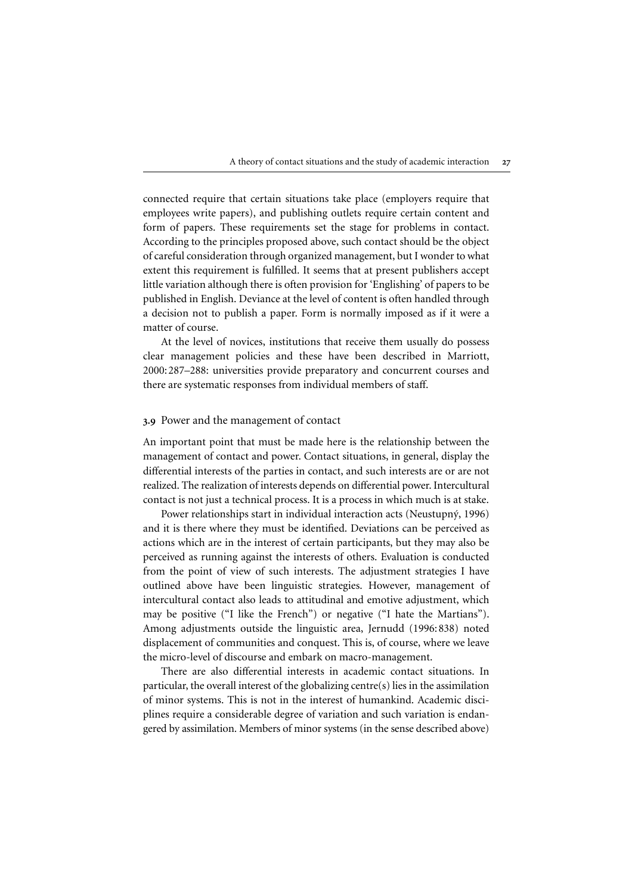connected require that certain situations take place (employers require that employees write papers), and publishing outlets require certain content and form of papers. These requirements set the stage for problems in contact. According to the principles proposed above, such contact should be the object of careful consideration through organized management, but I wonder to what extent this requirement is fulfilled. It seems that at present publishers accept little variation although there is often provision for 'Englishing' of papers to be published in English. Deviance at the level of content is often handled through a decision not to publish a paper. Form is normally imposed as if it were a matter of course. A theory of contact situations and the study of academic interaction<br>
connected require that certain situations take place (employers require that<br>
employees write papers), and publishing outlets require certain content a A theory of contact sinations and the study of a<br>cademic interaction concerted require that employees write paper), and publishing outlets require certain content and<br>form of papers. These requirements as the basage for p

At the level of novices, institutions that receive them usually do possess clear management policies and these have been described in Marriott, 2000:287–288: universities provide preparatory and concurrent courses and there are systematic responses from individual members of staff.

#### 3.9 Power and the management of contact

An important point that must be made here is the relationship between the management of contact and power. Contact situations, in general, display the differential interests of the parties in contact, and such interests are or are not realized. The realization of interests depends on differential power. Intercultural contact is not just a technical process. It is a process in which much is at stake.

Power relationships start in individual interaction acts (Neustupný, 1996) actions which are in the interest of certain participants, but they may also be perceived as running against the interests of others. Evaluation is conducted from the point of view of such interests. The adjustment strategies I have outlined above have been linguistic strategies. However, management of intercultural contact also leads to attitudinal and emotive adjustment, which may be positive ("I like the French") or negative ("I hate the Martians"). Among adjustments outside the linguistic area, Jernudd (1996:838) noted the micro-level of discourse and embark on macro-management.

There are also differential interests in academic contact situations. In particular, the overall interest of the globalizing centre(s) lies in the assimilation of minor systems. This is not in the interest of humankind. Academic disciplines require a considerable degree of variation and such variation is endangered by assimilation. Members of minor systems (in the sense described above)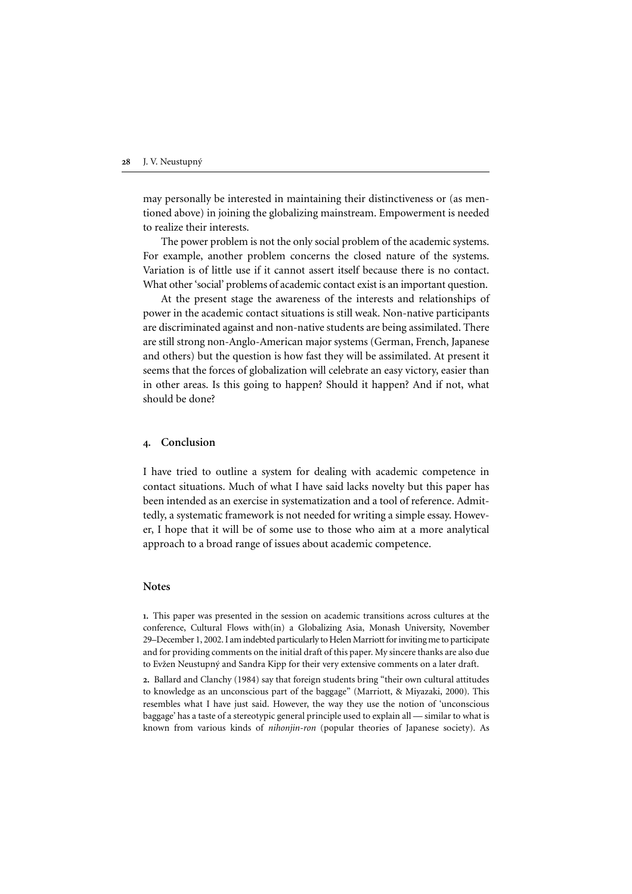may personally be interested in maintaining their distinctiveness or (as mentioned above) in joining the globalizing mainstream. Empowerment is needed to realize their interests.

The power problem is not the only social problem of the academic systems. For example, another problem concerns the closed nature of the systems. Variation is of little use if it cannot assert itself because there is no contact. What other 'social' problems of academic contact exist is an important question.

At the present stage the awareness of the interests and relationships of power in the academic contact situations is still weak. Non-native participants are discriminated against and non-native students are being assimilated. There are still strong non-Anglo-American major systems (German, French, Japanese and others) but the question is how fast they will be assimilated. At present it seems that the forces of globalization will celebrate an easy victory, easier than in other areas. Is this going to happen? Should it happen? And if not, what should be done?

#### 4. Conclusion

I have tried to outline a system for dealing with academic competence in contact situations. Much of what I have said lacks novelty but this paper has been intended as an exercise in systematization and a tool of reference. Admittedly, a systematic framework is not needed for writing a simple essay. However, I hope that it will be of some use to those who aim at a more analytical approach to a broad range of issues about academic competence.

#### Notes

1. This paper was presented in the session on academic transitions across cultures at the conference, Cultural Flows with(in) a Globalizing Asia, Monash University, November 29–December 1, 2002. I am indebted particularly to Helen Marriott for inviting me to participate and for providing comments on the initial draft of this paper. My sincere thanks are also due to Evžen Neustupný and Sandra Kipp for their very extensive comments on a later draft.

2. Ballard and Clanchy (1984) say that foreign students bring "their own cultural attitudes to knowledge as an unconscious part of the baggage" (Marriott, & Miyazaki, 2000). This resembles what I have just said. However, the way they use the notion of 'unconscious baggage' has a taste of a stereotypic general principle used to explain all — similar to what is known from various kinds of *nihonjin-ron* (popular theories of Japanese society)*.* As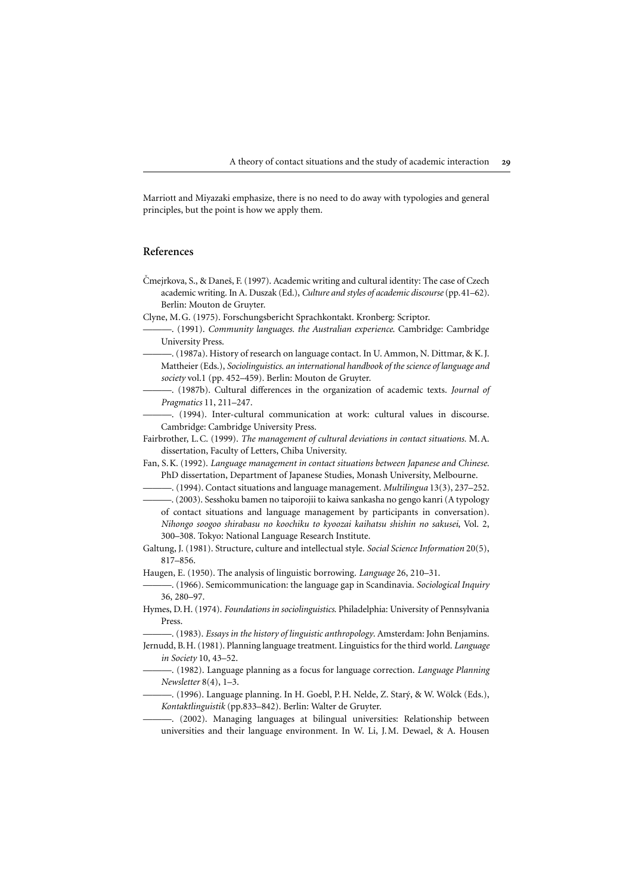Marriott and Miyazaki emphasize, there is no need to do away with typologies and general principles, but the point is how we apply them.

### References

Čmejrkova, S., & Daneš, F. (1997). Academic writing and cultural identity: The case of Czech academic writing. In A. Duszak (Ed.), *Culture and styles of academic discourse*(pp.41–62). Berlin: Mouton de Gruyter. A theory of contact situations and the study of academic interaction<br>
Marriott and Miyazaki emphasize, there is no need to do away with typologies and general<br>
principles, but the point is how we apply them.<br> **References**<br> A theory of contact situations and<br>
Marriott and Miyazaki emphasize, there is no need to<br>
principles, but the point is how we apply them.<br> **References**<br>
Čmejrkova, S., & Daneš, E. (1997). Academic writing a<br>
academic writi A theory of contact situations and the study of academic interact<br>
Marriott and Miyazaki emphasize, there is no need to do away with typologies and gene<br>
principles, but the point is how we apply them.<br>
References<br>
Cmejrko Marriott a<br>
principles,<br>
Come incorporation and the Berlin Clyne, M. (Clyne, M. Clyne, M. Clyne, M. Clyne, M. (Clyne, M. Clyne, M. Clyne, M. Clyne, M. Clyne, M. Clyne, M. Clyne, M. Clyne, M. Clyne, M. Clyne, P. Clyne, P. (

Clyne, M.G. (1975). Forschungsbericht Sprachkontakt. Kronberg: Scriptor.

University Press.

———. (1987a). History of research on language contact. In U. Ammon, N. Dittmar, & K.J. Mattheier (Eds.), *Sociolinguistics. an international handbook of the science of language and society* vol.1 (pp. 452–459). Berlin: Mouton de Gruyter.

———. (1987b). Cultural differences in the organization of academic texts. *Journal of Pragmatics* 11, 211–247.

———. (1994). Inter-cultural communication at work: cultural values in discourse. Cambridge: Cambridge University Press.

- Fairbrother, L.C. (1999). *The management of cultural deviations in contact situations.* M.A.
- Fan, S.K. (1992). *Language management in contact situations between Japanese and Chinese.*

———. (1994). Contact situations and language management. *Multilingua* 13(3), 237–252.

———. (2003). Sesshoku bamen no taiporojii to kaiwa sankasha no gengo kanri (A typology of contact situations and language management by participants in conversation). *Nihongo soogoo shirabasu no koochiku to kyoozai kaihatsu shishin no sakusei*, Vol. 2, 300–308. Tokyo: National Language Research Institute. Marriott and<br>
principles, bu<br> **References**<br>
Čmejrkova, S.<br>
academic<br>
Berlin: M<br>
Clyne, M. G. (199<br>
Universit<br>
199<br>
Universit<br>
1987<br>
Mattheie<br> *society* vo<br>
198<br>
Pragmati<br>
C. (198<br>
Pragmati<br>
C. (198<br>
Pragmati<br>
C. (199<br>
C. M A theory of contact situations and the study of academic interaction<br>
periodiples, but the point is how we apply them.<br> **References**<br> **Considentic World Book was apply them.**<br> **References**<br> **Considentic World Book (Fig. 1** 

Galtung, J. (1981). Structure, culture and intellectual style. *Social Science Information* 20(5),

Haugen, E. (1950). The analysis of linguistic borrowing. *Language* 26, 210–31.

- 36, 280–97.
- Hymes, D.H. (1974). *Foundations in sociolinguistics*. Philadelphia: University of Pennsylvania

———. (1983). *Essays in the history of linguistic anthropology*. Amsterdam: John Benjamins.

Jernudd, B.H. (1981). Planning language treatment. Linguistics for the third world. *Language in Society* 10, 43–52.

———. (1982). Language planning as a focus for language correction. *Language Planning Newsletter* 8(4), 1–3.

———. (1996). Language planning. In H. Goebl, P.H. Nelde, Z. Starý, & W. Wölck (Eds.), *Kontaktlinguistik* (pp.833–842). Berlin: Walter de Gruyter.

———. (2002). Managing languages at bilingual universities: Relationship between universities and their language environment. In W. Li, J.M. Dewael, & A. Housen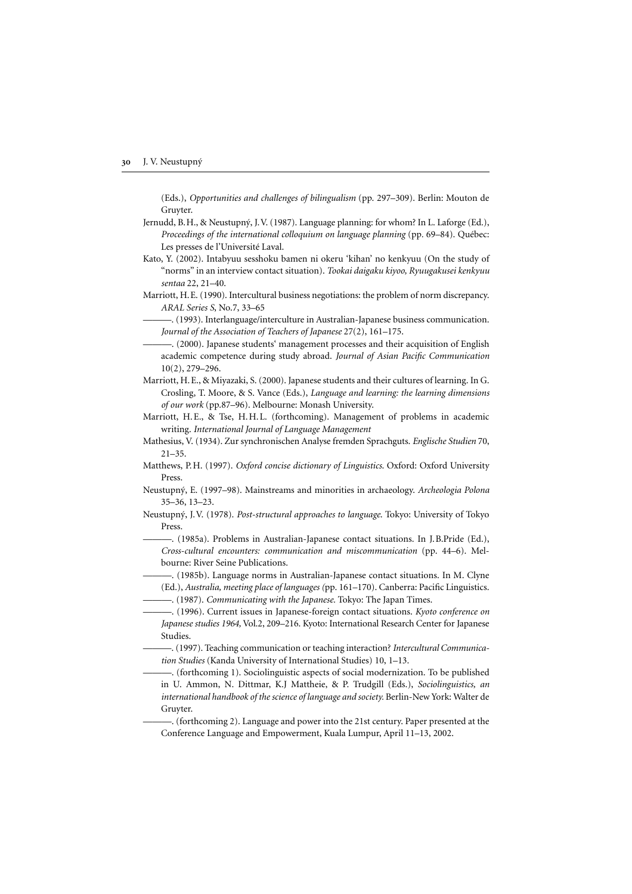(Eds.), *Opportunities and challenges of bilingualism* (pp. 297–309). Berlin: Mouton de Gruyter.

- Jernudd, B.H., & Neustupný, J.V. (1987). Language planning: for whom? In L. Laforge (Ed.), *Proceedings of the international colloquium on language planning* (pp*.* 69–84). Québec: Les presses de l'Université Laval.
- Kato, Y. (2002). Intabyuu sesshoku bamen ni okeru 'kihan' no kenkyuu (On the study of "norms" in an interview contact situation). *Tookai daigaku kiyoo, Ryuugakusei kenkyuu sentaa* 22, 21–40. "neu-r11">21–35. "neu-r12">Press. 30 J. V. Neustupný<br>
(Eds.), *Oppor*<br>
Gruyter.<br>
Jernudd, B. H., & N<br> *Proceedings of*<br>
Les presses de<br>
Kato, Y. (2002). In<br>
"norms" in an<br>
sentaa 22, 21–<br>
Marriott, H. E. (1993). In<br>
Journal of the<br>
... (2000). Ja<br>
academic
	- Marriott, H.E. (1990). Intercultural business negotiations: the problem of norm discrepancy. *ARAL Series S*, No.7, 33–65
	- ———. (1993). Interlanguage/interculture in Australian-Japanese business communication. *Journal of the Association of Teachers of Japanese* 27(2), 161–175.
	- ———. (2000). Japanese students' management processes and their acquisition of English academic competence during study abroad. *Journal of Asian Pacific Communication* 10(2), 279–296.
	- Marriott, H.E., & Miyazaki, S. (2000). Japanese students and their cultures of learning. In G. Crosling, T. Moore, & S. Vance (Eds.), *Language and learning: the learning dimensions of our work* (pp.87–96). Melbourne: Monash University.
	- Marriott, H.E., & Tse, H.H.L. (forthcoming). Management of problems in academic writing. *International Journal of Language Management*
	- Mathesius, V. (1934). Zur synchronischen Analyse fremden Sprachguts. *Englische Studien* 70,
	- Matthews, P.H. (1997). *Oxford concise dictionary of Linguistics*. Oxford: Oxford University
	- Neustupný, E. (1997–98). Mainstreams and minorities in archaeology. *Archeologia Polona*
	- Neustupný, J.V. (1978). *Post-structural approaches to language*. Tokyo: University of Tokyo Press.

———. (1985a). Problems in Australian-Japanese contact situations. In J.B.Pride (Ed.), *Cross-cultural encounters: communication and miscommunication* (pp. 44–6). Melbourne: River Seine Publications.

- ———. (1985b). Language norms in Australian-Japanese contact situations. In M. Clyne (Ed.), *Australia, meeting place of languages (*pp. 161–170). Canberra: Pacific Linguistics.
	- ———. (1987). *Communicating with the Japanese.* Tokyo: The Japan Times.
	- ———. (1996). Current issues in Japanese-foreign contact situations. *Kyoto conference on Japanese studies 1964,* Vol.2, 209–216. Kyoto: International Research Center for Japanese Studies.
	- ———. (1997). Teaching communication or teaching interaction? *Intercultural Communication Studies* (Kanda University of International Studies) 10, 1–13.
	- ———. (forthcoming 1). Sociolinguistic aspects of social modernization. To be published in U. Ammon, N. Dittmar, K.J Mattheie, & P. Trudgill (Eds.), *Sociolinguistics, an international handbook of the science of language and society.* Berlin-New York: Walter de Gruyter.
	- ———. (forthcoming 2). Language and power into the 21st century. Paper presented at the Conference Language and Empowerment, Kuala Lumpur, April 11–13, 2002.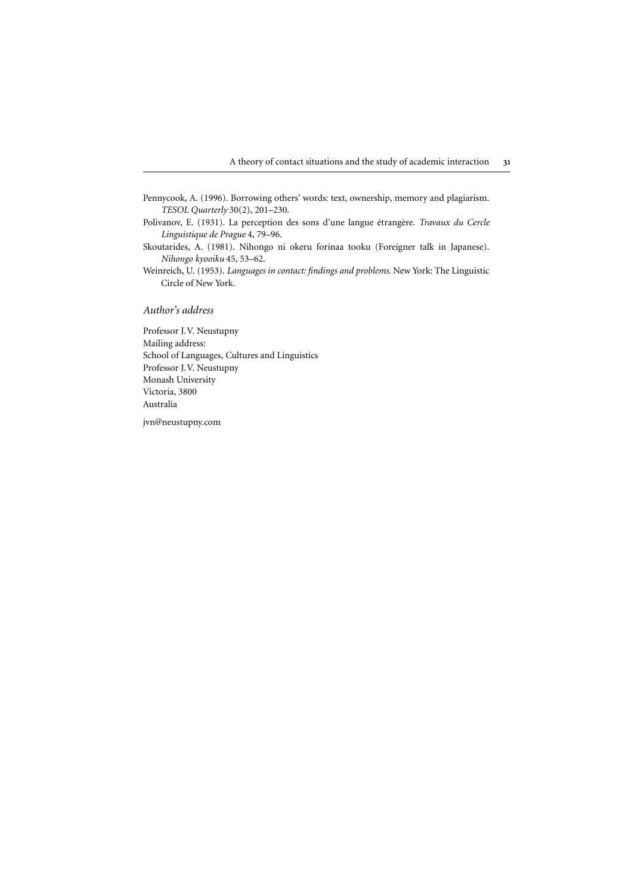- Pennycook, A. (1996). Borrowing others' words: text, ownership, memory and plagiarism. *TESOL Quarterly* 30(2), 201–230.
- Polivanov, E. (1931). La perception des sons d'une langue étrangère. *Travaux du Cercle Linguistique de Prague* 4, 79–96. A<br>
Pennycook, A. (1996). E<br>
TESOL Quarterly 3<br>
Polivanov, E. (1931). L<br>
Linguistique de Prag<br>
Skoutarides, A. (1981).<br>
Nihongo kyooiku 45<br>
Weinreich, U. (1953). La<br>
Circle of New York.
	- Skoutarides, A. (1981). Nihongo ni okeru forinaa tooku (Foreigner talk in Japanese). *Nihongo kyooiku* 45, 53–62.
	- Weinreich, U. (1953). *Languages in contact: findings and problems.* New York: The Linguistic

#### *Author's address*

Professor J.V. Neustupny Mailing address: School of Languages, Cultures and Linguistics Professor J.V. Neustupny Monash University Victoria, 3800 Australia

[jvn@neustupny.com](mailto:jvn@neustupny.com)